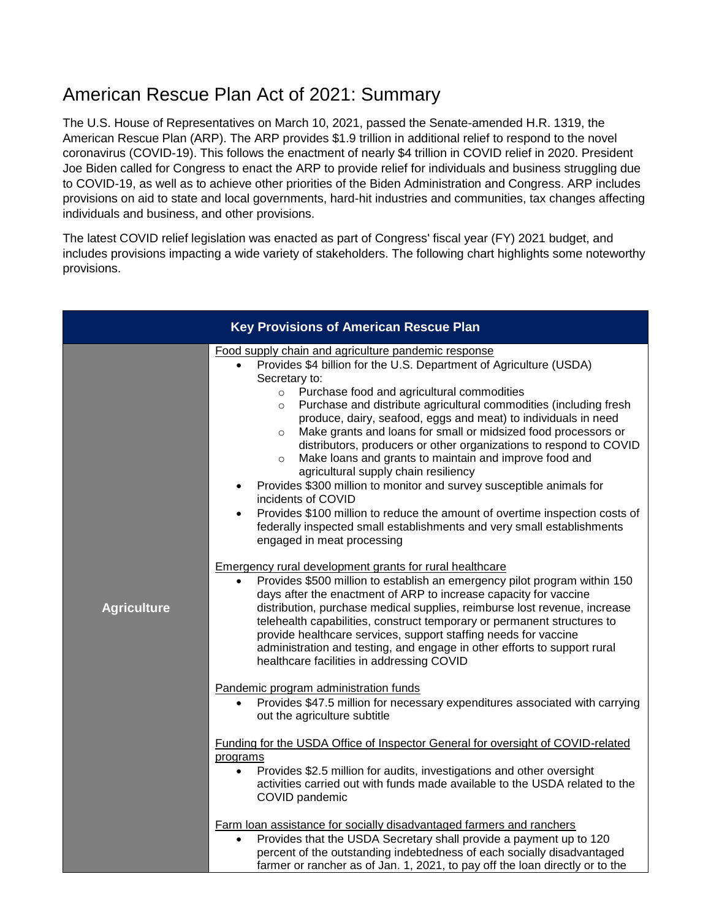## American Rescue Plan Act of 2021: Summary

The U.S. House of Representatives on March 10, 2021, passed the Senate-amended H.R. 1319, the American Rescue Plan (ARP). The ARP provides \$1.9 trillion in additional relief to respond to the novel coronavirus (COVID-19). This follows the enactment of nearly \$4 trillion in COVID relief in 2020. President Joe Biden called for Congress to enact the ARP to provide relief for individuals and business struggling due to COVID-19, as well as to achieve other priorities of the Biden Administration and Congress. ARP includes provisions on aid to state and local governments, hard-hit industries and communities, tax changes affecting individuals and business, and other provisions.

The latest COVID relief legislation was enacted as part of Congress' fiscal year (FY) 2021 budget, and includes provisions impacting a wide variety of stakeholders. The following chart highlights some noteworthy provisions.

| <b>Key Provisions of American Rescue Plan</b> |                                                                                                                                                                                                                                                                                                                                                                                                                                                                                                                                                                                                                                                                                                                                                                                                                                                                                                                                                                                                                                                                                                                                                                                                                                                                                                                                                                                                                                                                                                |  |
|-----------------------------------------------|------------------------------------------------------------------------------------------------------------------------------------------------------------------------------------------------------------------------------------------------------------------------------------------------------------------------------------------------------------------------------------------------------------------------------------------------------------------------------------------------------------------------------------------------------------------------------------------------------------------------------------------------------------------------------------------------------------------------------------------------------------------------------------------------------------------------------------------------------------------------------------------------------------------------------------------------------------------------------------------------------------------------------------------------------------------------------------------------------------------------------------------------------------------------------------------------------------------------------------------------------------------------------------------------------------------------------------------------------------------------------------------------------------------------------------------------------------------------------------------------|--|
| <b>Agriculture</b>                            | Food supply chain and agriculture pandemic response<br>Provides \$4 billion for the U.S. Department of Agriculture (USDA)<br>Secretary to:<br>Purchase food and agricultural commodities<br>$\circ$<br>Purchase and distribute agricultural commodities (including fresh<br>$\circ$<br>produce, dairy, seafood, eggs and meat) to individuals in need<br>Make grants and loans for small or midsized food processors or<br>$\circ$<br>distributors, producers or other organizations to respond to COVID<br>Make loans and grants to maintain and improve food and<br>$\circ$<br>agricultural supply chain resiliency<br>Provides \$300 million to monitor and survey susceptible animals for<br>incidents of COVID<br>Provides \$100 million to reduce the amount of overtime inspection costs of<br>$\bullet$<br>federally inspected small establishments and very small establishments<br>engaged in meat processing<br><b>Emergency rural development grants for rural healthcare</b><br>Provides \$500 million to establish an emergency pilot program within 150<br>days after the enactment of ARP to increase capacity for vaccine<br>distribution, purchase medical supplies, reimburse lost revenue, increase<br>telehealth capabilities, construct temporary or permanent structures to<br>provide healthcare services, support staffing needs for vaccine<br>administration and testing, and engage in other efforts to support rural<br>healthcare facilities in addressing COVID |  |
|                                               | Pandemic program administration funds<br>Provides \$47.5 million for necessary expenditures associated with carrying<br>out the agriculture subtitle                                                                                                                                                                                                                                                                                                                                                                                                                                                                                                                                                                                                                                                                                                                                                                                                                                                                                                                                                                                                                                                                                                                                                                                                                                                                                                                                           |  |
|                                               | Funding for the USDA Office of Inspector General for oversight of COVID-related<br>programs<br>Provides \$2.5 million for audits, investigations and other oversight<br>$\bullet$<br>activities carried out with funds made available to the USDA related to the<br>COVID pandemic                                                                                                                                                                                                                                                                                                                                                                                                                                                                                                                                                                                                                                                                                                                                                                                                                                                                                                                                                                                                                                                                                                                                                                                                             |  |
|                                               | Farm loan assistance for socially disadvantaged farmers and ranchers<br>Provides that the USDA Secretary shall provide a payment up to 120<br>$\bullet$<br>percent of the outstanding indebtedness of each socially disadvantaged<br>farmer or rancher as of Jan. 1, 2021, to pay off the loan directly or to the                                                                                                                                                                                                                                                                                                                                                                                                                                                                                                                                                                                                                                                                                                                                                                                                                                                                                                                                                                                                                                                                                                                                                                              |  |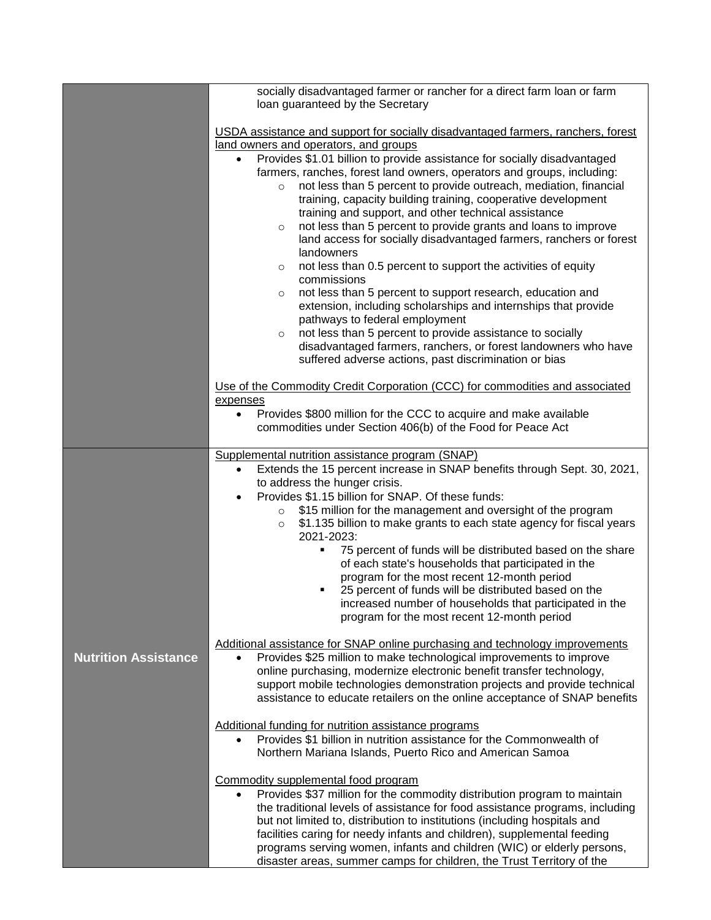|                             | socially disadvantaged farmer or rancher for a direct farm loan or farm<br>loan guaranteed by the Secretary                                                                                                                                                                                                                                                                                                                                                                                                                                                                                                                                                                                                                                                                                                                                                                                                                                                                                                                                                                                                                                       |
|-----------------------------|---------------------------------------------------------------------------------------------------------------------------------------------------------------------------------------------------------------------------------------------------------------------------------------------------------------------------------------------------------------------------------------------------------------------------------------------------------------------------------------------------------------------------------------------------------------------------------------------------------------------------------------------------------------------------------------------------------------------------------------------------------------------------------------------------------------------------------------------------------------------------------------------------------------------------------------------------------------------------------------------------------------------------------------------------------------------------------------------------------------------------------------------------|
|                             | USDA assistance and support for socially disadvantaged farmers, ranchers, forest<br>land owners and operators, and groups<br>Provides \$1.01 billion to provide assistance for socially disadvantaged<br>$\bullet$<br>farmers, ranches, forest land owners, operators and groups, including:<br>not less than 5 percent to provide outreach, mediation, financial<br>$\circ$<br>training, capacity building training, cooperative development<br>training and support, and other technical assistance<br>not less than 5 percent to provide grants and loans to improve<br>$\circ$<br>land access for socially disadvantaged farmers, ranchers or forest<br>landowners<br>not less than 0.5 percent to support the activities of equity<br>$\circ$<br>commissions<br>not less than 5 percent to support research, education and<br>$\circ$<br>extension, including scholarships and internships that provide<br>pathways to federal employment<br>not less than 5 percent to provide assistance to socially<br>$\circ$<br>disadvantaged farmers, ranchers, or forest landowners who have<br>suffered adverse actions, past discrimination or bias |
|                             | Use of the Commodity Credit Corporation (CCC) for commodities and associated<br>expenses<br>Provides \$800 million for the CCC to acquire and make available<br>$\bullet$<br>commodities under Section 406(b) of the Food for Peace Act                                                                                                                                                                                                                                                                                                                                                                                                                                                                                                                                                                                                                                                                                                                                                                                                                                                                                                           |
|                             | Supplemental nutrition assistance program (SNAP)<br>Extends the 15 percent increase in SNAP benefits through Sept. 30, 2021,<br>$\bullet$<br>to address the hunger crisis.<br>Provides \$1.15 billion for SNAP. Of these funds:<br>$\bullet$<br>\$15 million for the management and oversight of the program<br>$\circ$<br>\$1.135 billion to make grants to each state agency for fiscal years<br>$\circ$<br>2021-2023:<br>75 percent of funds will be distributed based on the share<br>of each state's households that participated in the<br>program for the most recent 12-month period<br>25 percent of funds will be distributed based on the<br>increased number of households that participated in the<br>program for the most recent 12-month period                                                                                                                                                                                                                                                                                                                                                                                    |
| <b>Nutrition Assistance</b> | Additional assistance for SNAP online purchasing and technology improvements<br>Provides \$25 million to make technological improvements to improve<br>$\bullet$<br>online purchasing, modernize electronic benefit transfer technology,<br>support mobile technologies demonstration projects and provide technical<br>assistance to educate retailers on the online acceptance of SNAP benefits                                                                                                                                                                                                                                                                                                                                                                                                                                                                                                                                                                                                                                                                                                                                                 |
|                             | Additional funding for nutrition assistance programs<br>Provides \$1 billion in nutrition assistance for the Commonwealth of<br>$\bullet$<br>Northern Mariana Islands, Puerto Rico and American Samoa<br>Commodity supplemental food program<br>Provides \$37 million for the commodity distribution program to maintain<br>$\bullet$<br>the traditional levels of assistance for food assistance programs, including<br>but not limited to, distribution to institutions (including hospitals and<br>facilities caring for needy infants and children), supplemental feeding<br>programs serving women, infants and children (WIC) or elderly persons,<br>disaster areas, summer camps for children, the Trust Territory of the                                                                                                                                                                                                                                                                                                                                                                                                                  |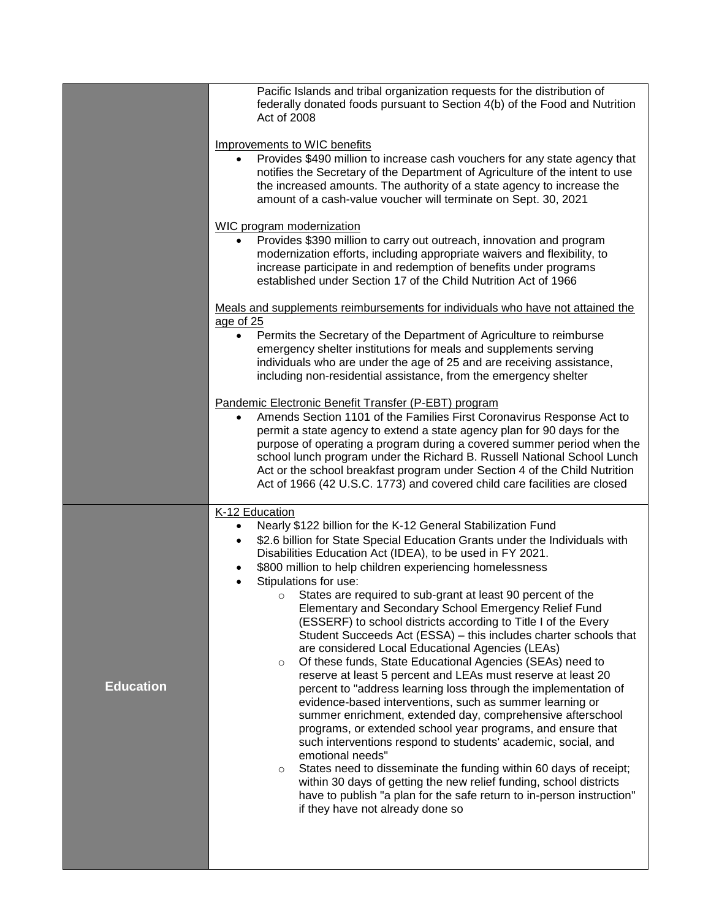|                  | Pacific Islands and tribal organization requests for the distribution of<br>federally donated foods pursuant to Section 4(b) of the Food and Nutrition<br>Act of 2008 |
|------------------|-----------------------------------------------------------------------------------------------------------------------------------------------------------------------|
|                  | Improvements to WIC benefits                                                                                                                                          |
|                  | Provides \$490 million to increase cash vouchers for any state agency that<br>$\bullet$                                                                               |
|                  | notifies the Secretary of the Department of Agriculture of the intent to use                                                                                          |
|                  | the increased amounts. The authority of a state agency to increase the                                                                                                |
|                  | amount of a cash-value voucher will terminate on Sept. 30, 2021                                                                                                       |
|                  | WIC program modernization                                                                                                                                             |
|                  | Provides \$390 million to carry out outreach, innovation and program                                                                                                  |
|                  | modernization efforts, including appropriate waivers and flexibility, to<br>increase participate in and redemption of benefits under programs                         |
|                  | established under Section 17 of the Child Nutrition Act of 1966                                                                                                       |
|                  | Meals and supplements reimbursements for individuals who have not attained the<br>age of 25                                                                           |
|                  | Permits the Secretary of the Department of Agriculture to reimburse<br>$\bullet$                                                                                      |
|                  | emergency shelter institutions for meals and supplements serving                                                                                                      |
|                  | individuals who are under the age of 25 and are receiving assistance,                                                                                                 |
|                  | including non-residential assistance, from the emergency shelter                                                                                                      |
|                  | Pandemic Electronic Benefit Transfer (P-EBT) program                                                                                                                  |
|                  | Amends Section 1101 of the Families First Coronavirus Response Act to<br>$\bullet$<br>permit a state agency to extend a state agency plan for 90 days for the         |
|                  | purpose of operating a program during a covered summer period when the                                                                                                |
|                  | school lunch program under the Richard B. Russell National School Lunch                                                                                               |
|                  |                                                                                                                                                                       |
|                  | Act or the school breakfast program under Section 4 of the Child Nutrition                                                                                            |
|                  | Act of 1966 (42 U.S.C. 1773) and covered child care facilities are closed                                                                                             |
|                  | K-12 Education                                                                                                                                                        |
|                  | Nearly \$122 billion for the K-12 General Stabilization Fund<br>$\bullet$                                                                                             |
|                  | \$2.6 billion for State Special Education Grants under the Individuals with<br>$\bullet$                                                                              |
|                  | Disabilities Education Act (IDEA), to be used in FY 2021.                                                                                                             |
|                  | \$800 million to help children experiencing homelessness<br>$\bullet$<br>$\bullet$                                                                                    |
|                  | Stipulations for use:<br>States are required to sub-grant at least 90 percent of the<br>O                                                                             |
|                  | Elementary and Secondary School Emergency Relief Fund                                                                                                                 |
|                  | (ESSERF) to school districts according to Title I of the Every                                                                                                        |
|                  | Student Succeeds Act (ESSA) - this includes charter schools that                                                                                                      |
|                  | are considered Local Educational Agencies (LEAs)<br>Of these funds, State Educational Agencies (SEAs) need to<br>$\circ$                                              |
|                  | reserve at least 5 percent and LEAs must reserve at least 20                                                                                                          |
| <b>Education</b> | percent to "address learning loss through the implementation of                                                                                                       |
|                  | evidence-based interventions, such as summer learning or                                                                                                              |
|                  | summer enrichment, extended day, comprehensive afterschool                                                                                                            |
|                  | programs, or extended school year programs, and ensure that<br>such interventions respond to students' academic, social, and                                          |
|                  | emotional needs"                                                                                                                                                      |
|                  | States need to disseminate the funding within 60 days of receipt;<br>$\circ$                                                                                          |
|                  | within 30 days of getting the new relief funding, school districts                                                                                                    |
|                  | have to publish "a plan for the safe return to in-person instruction"<br>if they have not already done so                                                             |
|                  |                                                                                                                                                                       |
|                  |                                                                                                                                                                       |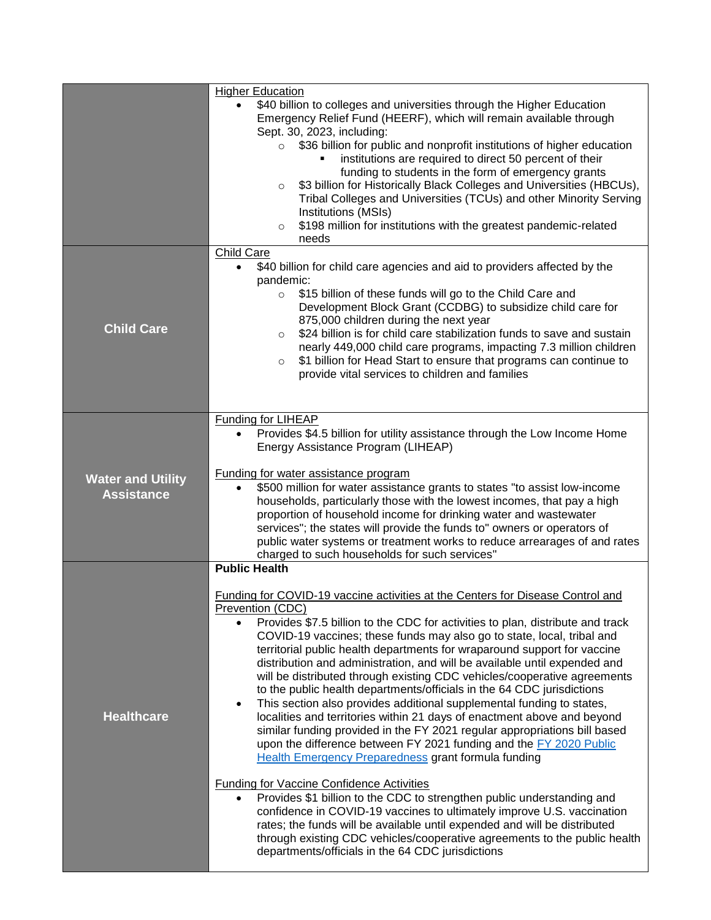|                                               | <b>Higher Education</b>                                                                                                                                                                                                                                                                                                                                                                                                                                                                                                                                                                                                                                                                                                                                                                                                                                                                                                                                                                                                                                                                                                                                                                                                                                                                                                                                                                             |
|-----------------------------------------------|-----------------------------------------------------------------------------------------------------------------------------------------------------------------------------------------------------------------------------------------------------------------------------------------------------------------------------------------------------------------------------------------------------------------------------------------------------------------------------------------------------------------------------------------------------------------------------------------------------------------------------------------------------------------------------------------------------------------------------------------------------------------------------------------------------------------------------------------------------------------------------------------------------------------------------------------------------------------------------------------------------------------------------------------------------------------------------------------------------------------------------------------------------------------------------------------------------------------------------------------------------------------------------------------------------------------------------------------------------------------------------------------------------|
|                                               | \$40 billion to colleges and universities through the Higher Education<br>Emergency Relief Fund (HEERF), which will remain available through<br>Sept. 30, 2023, including:                                                                                                                                                                                                                                                                                                                                                                                                                                                                                                                                                                                                                                                                                                                                                                                                                                                                                                                                                                                                                                                                                                                                                                                                                          |
|                                               | $\circ$ \$36 billion for public and nonprofit institutions of higher education<br>institutions are required to direct 50 percent of their<br>funding to students in the form of emergency grants<br>\$3 billion for Historically Black Colleges and Universities (HBCUs),<br>$\circ$<br>Tribal Colleges and Universities (TCUs) and other Minority Serving<br>Institutions (MSIs)<br>\$198 million for institutions with the greatest pandemic-related<br>$\circ$<br>needs                                                                                                                                                                                                                                                                                                                                                                                                                                                                                                                                                                                                                                                                                                                                                                                                                                                                                                                          |
|                                               | <b>Child Care</b>                                                                                                                                                                                                                                                                                                                                                                                                                                                                                                                                                                                                                                                                                                                                                                                                                                                                                                                                                                                                                                                                                                                                                                                                                                                                                                                                                                                   |
| <b>Child Care</b>                             | \$40 billion for child care agencies and aid to providers affected by the<br>$\bullet$<br>pandemic:<br>\$15 billion of these funds will go to the Child Care and<br>$\circ$<br>Development Block Grant (CCDBG) to subsidize child care for<br>875,000 children during the next year<br>\$24 billion is for child care stabilization funds to save and sustain<br>$\circ$<br>nearly 449,000 child care programs, impacting 7.3 million children<br>\$1 billion for Head Start to ensure that programs can continue to<br>$\circ$<br>provide vital services to children and families                                                                                                                                                                                                                                                                                                                                                                                                                                                                                                                                                                                                                                                                                                                                                                                                                  |
|                                               | Funding for LIHEAP<br>Provides \$4.5 billion for utility assistance through the Low Income Home                                                                                                                                                                                                                                                                                                                                                                                                                                                                                                                                                                                                                                                                                                                                                                                                                                                                                                                                                                                                                                                                                                                                                                                                                                                                                                     |
|                                               | Energy Assistance Program (LIHEAP)                                                                                                                                                                                                                                                                                                                                                                                                                                                                                                                                                                                                                                                                                                                                                                                                                                                                                                                                                                                                                                                                                                                                                                                                                                                                                                                                                                  |
| <b>Water and Utility</b><br><b>Assistance</b> | Funding for water assistance program<br>\$500 million for water assistance grants to states "to assist low-income<br>households, particularly those with the lowest incomes, that pay a high<br>proportion of household income for drinking water and wastewater<br>services"; the states will provide the funds to" owners or operators of<br>public water systems or treatment works to reduce arrearages of and rates<br>charged to such households for such services"                                                                                                                                                                                                                                                                                                                                                                                                                                                                                                                                                                                                                                                                                                                                                                                                                                                                                                                           |
|                                               | <b>Public Health</b>                                                                                                                                                                                                                                                                                                                                                                                                                                                                                                                                                                                                                                                                                                                                                                                                                                                                                                                                                                                                                                                                                                                                                                                                                                                                                                                                                                                |
| <b>Healthcare</b>                             | Funding for COVID-19 vaccine activities at the Centers for Disease Control and<br>Prevention (CDC)<br>Provides \$7.5 billion to the CDC for activities to plan, distribute and track<br>$\bullet$<br>COVID-19 vaccines; these funds may also go to state, local, tribal and<br>territorial public health departments for wraparound support for vaccine<br>distribution and administration, and will be available until expended and<br>will be distributed through existing CDC vehicles/cooperative agreements<br>to the public health departments/officials in the 64 CDC jurisdictions<br>This section also provides additional supplemental funding to states,<br>$\bullet$<br>localities and territories within 21 days of enactment above and beyond<br>similar funding provided in the FY 2021 regular appropriations bill based<br>upon the difference between FY 2021 funding and the FY 2020 Public<br><b>Health Emergency Preparedness grant formula funding</b><br><b>Funding for Vaccine Confidence Activities</b><br>Provides \$1 billion to the CDC to strengthen public understanding and<br>confidence in COVID-19 vaccines to ultimately improve U.S. vaccination<br>rates; the funds will be available until expended and will be distributed<br>through existing CDC vehicles/cooperative agreements to the public health<br>departments/officials in the 64 CDC jurisdictions |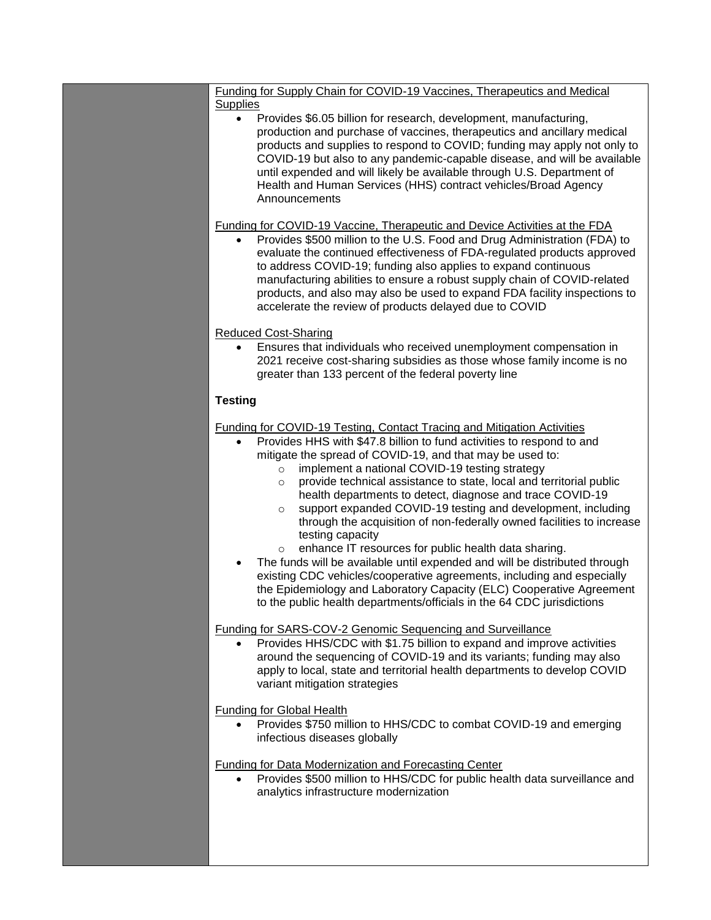| Funding for Supply Chain for COVID-19 Vaccines, Therapeutics and Medical                                                                                                                                                                                                                                                                                                                                                                                                                                                                                                                                                                                                                                                                                                                                                                                                                                                                                                                                        |
|-----------------------------------------------------------------------------------------------------------------------------------------------------------------------------------------------------------------------------------------------------------------------------------------------------------------------------------------------------------------------------------------------------------------------------------------------------------------------------------------------------------------------------------------------------------------------------------------------------------------------------------------------------------------------------------------------------------------------------------------------------------------------------------------------------------------------------------------------------------------------------------------------------------------------------------------------------------------------------------------------------------------|
| <b>Supplies</b><br>Provides \$6.05 billion for research, development, manufacturing,<br>$\bullet$<br>production and purchase of vaccines, therapeutics and ancillary medical<br>products and supplies to respond to COVID; funding may apply not only to<br>COVID-19 but also to any pandemic-capable disease, and will be available<br>until expended and will likely be available through U.S. Department of<br>Health and Human Services (HHS) contract vehicles/Broad Agency<br>Announcements                                                                                                                                                                                                                                                                                                                                                                                                                                                                                                               |
| <b>Funding for COVID-19 Vaccine, Therapeutic and Device Activities at the FDA</b><br>Provides \$500 million to the U.S. Food and Drug Administration (FDA) to                                                                                                                                                                                                                                                                                                                                                                                                                                                                                                                                                                                                                                                                                                                                                                                                                                                   |
| evaluate the continued effectiveness of FDA-regulated products approved<br>to address COVID-19; funding also applies to expand continuous<br>manufacturing abilities to ensure a robust supply chain of COVID-related<br>products, and also may also be used to expand FDA facility inspections to<br>accelerate the review of products delayed due to COVID                                                                                                                                                                                                                                                                                                                                                                                                                                                                                                                                                                                                                                                    |
| <b>Reduced Cost-Sharing</b>                                                                                                                                                                                                                                                                                                                                                                                                                                                                                                                                                                                                                                                                                                                                                                                                                                                                                                                                                                                     |
| Ensures that individuals who received unemployment compensation in<br>$\bullet$<br>2021 receive cost-sharing subsidies as those whose family income is no<br>greater than 133 percent of the federal poverty line                                                                                                                                                                                                                                                                                                                                                                                                                                                                                                                                                                                                                                                                                                                                                                                               |
| <b>Testing</b>                                                                                                                                                                                                                                                                                                                                                                                                                                                                                                                                                                                                                                                                                                                                                                                                                                                                                                                                                                                                  |
|                                                                                                                                                                                                                                                                                                                                                                                                                                                                                                                                                                                                                                                                                                                                                                                                                                                                                                                                                                                                                 |
| <b>Funding for COVID-19 Testing, Contact Tracing and Mitigation Activities</b><br>Provides HHS with \$47.8 billion to fund activities to respond to and<br>$\bullet$<br>mitigate the spread of COVID-19, and that may be used to:<br>implement a national COVID-19 testing strategy<br>$\circ$<br>provide technical assistance to state, local and territorial public<br>$\circ$<br>health departments to detect, diagnose and trace COVID-19<br>support expanded COVID-19 testing and development, including<br>$\circ$<br>through the acquisition of non-federally owned facilities to increase<br>testing capacity<br>enhance IT resources for public health data sharing.<br>$\circ$<br>The funds will be available until expended and will be distributed through<br>$\bullet$<br>existing CDC vehicles/cooperative agreements, including and especially<br>the Epidemiology and Laboratory Capacity (ELC) Cooperative Agreement<br>to the public health departments/officials in the 64 CDC jurisdictions |
|                                                                                                                                                                                                                                                                                                                                                                                                                                                                                                                                                                                                                                                                                                                                                                                                                                                                                                                                                                                                                 |
| Funding for SARS-COV-2 Genomic Sequencing and Surveillance<br>Provides HHS/CDC with \$1.75 billion to expand and improve activities<br>around the sequencing of COVID-19 and its variants; funding may also<br>apply to local, state and territorial health departments to develop COVID<br>variant mitigation strategies                                                                                                                                                                                                                                                                                                                                                                                                                                                                                                                                                                                                                                                                                       |
| <b>Funding for Global Health</b><br>Provides \$750 million to HHS/CDC to combat COVID-19 and emerging<br>infectious diseases globally                                                                                                                                                                                                                                                                                                                                                                                                                                                                                                                                                                                                                                                                                                                                                                                                                                                                           |
|                                                                                                                                                                                                                                                                                                                                                                                                                                                                                                                                                                                                                                                                                                                                                                                                                                                                                                                                                                                                                 |
| <b>Funding for Data Modernization and Forecasting Center</b><br>Provides \$500 million to HHS/CDC for public health data surveillance and<br>analytics infrastructure modernization                                                                                                                                                                                                                                                                                                                                                                                                                                                                                                                                                                                                                                                                                                                                                                                                                             |
|                                                                                                                                                                                                                                                                                                                                                                                                                                                                                                                                                                                                                                                                                                                                                                                                                                                                                                                                                                                                                 |
|                                                                                                                                                                                                                                                                                                                                                                                                                                                                                                                                                                                                                                                                                                                                                                                                                                                                                                                                                                                                                 |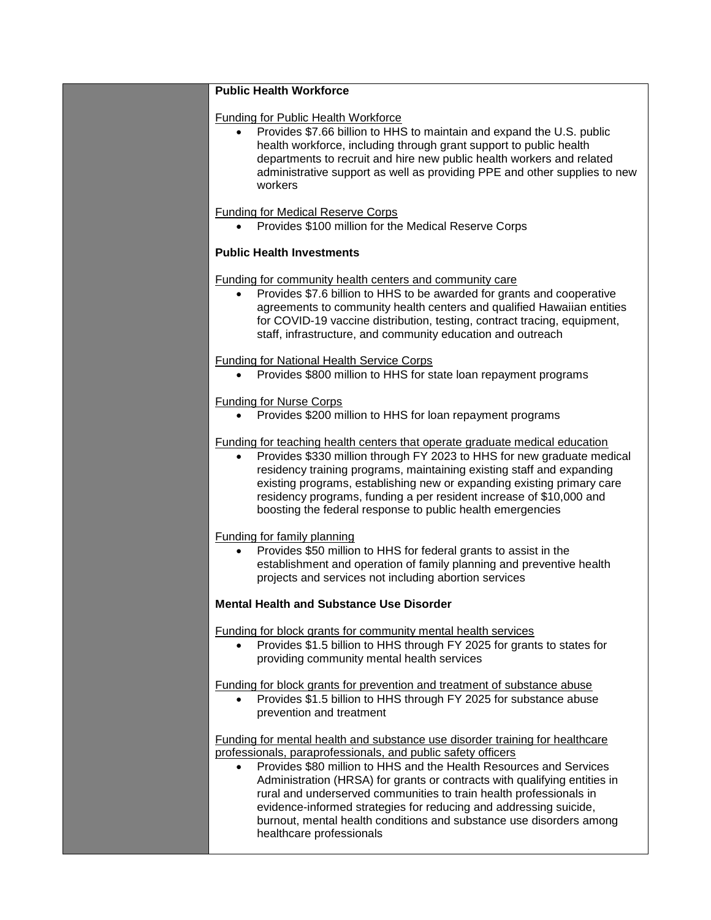| <b>Public Health Workforce</b>                                                                                                                                                                                                                                                                                                                                                                                                                                                                                                                             |
|------------------------------------------------------------------------------------------------------------------------------------------------------------------------------------------------------------------------------------------------------------------------------------------------------------------------------------------------------------------------------------------------------------------------------------------------------------------------------------------------------------------------------------------------------------|
| <b>Funding for Public Health Workforce</b><br>Provides \$7.66 billion to HHS to maintain and expand the U.S. public<br>$\bullet$<br>health workforce, including through grant support to public health<br>departments to recruit and hire new public health workers and related<br>administrative support as well as providing PPE and other supplies to new<br>workers                                                                                                                                                                                    |
| <b>Funding for Medical Reserve Corps</b><br>Provides \$100 million for the Medical Reserve Corps                                                                                                                                                                                                                                                                                                                                                                                                                                                           |
| <b>Public Health Investments</b>                                                                                                                                                                                                                                                                                                                                                                                                                                                                                                                           |
| <b>Funding for community health centers and community care</b><br>Provides \$7.6 billion to HHS to be awarded for grants and cooperative<br>agreements to community health centers and qualified Hawaiian entities<br>for COVID-19 vaccine distribution, testing, contract tracing, equipment,<br>staff, infrastructure, and community education and outreach                                                                                                                                                                                              |
| <b>Funding for National Health Service Corps</b><br>Provides \$800 million to HHS for state loan repayment programs                                                                                                                                                                                                                                                                                                                                                                                                                                        |
| <b>Funding for Nurse Corps</b><br>Provides \$200 million to HHS for loan repayment programs                                                                                                                                                                                                                                                                                                                                                                                                                                                                |
| Funding for teaching health centers that operate graduate medical education<br>Provides \$330 million through FY 2023 to HHS for new graduate medical<br>$\bullet$<br>residency training programs, maintaining existing staff and expanding<br>existing programs, establishing new or expanding existing primary care<br>residency programs, funding a per resident increase of \$10,000 and<br>boosting the federal response to public health emergencies                                                                                                 |
| <b>Funding for family planning</b><br>Provides \$50 million to HHS for federal grants to assist in the<br>establishment and operation of family planning and preventive health<br>projects and services not including abortion services                                                                                                                                                                                                                                                                                                                    |
| <b>Mental Health and Substance Use Disorder</b>                                                                                                                                                                                                                                                                                                                                                                                                                                                                                                            |
| Funding for block grants for community mental health services<br>Provides \$1.5 billion to HHS through FY 2025 for grants to states for<br>providing community mental health services                                                                                                                                                                                                                                                                                                                                                                      |
| Funding for block grants for prevention and treatment of substance abuse<br>Provides \$1.5 billion to HHS through FY 2025 for substance abuse<br>prevention and treatment                                                                                                                                                                                                                                                                                                                                                                                  |
| Funding for mental health and substance use disorder training for healthcare<br>professionals, paraprofessionals, and public safety officers<br>Provides \$80 million to HHS and the Health Resources and Services<br>$\bullet$<br>Administration (HRSA) for grants or contracts with qualifying entities in<br>rural and underserved communities to train health professionals in<br>evidence-informed strategies for reducing and addressing suicide,<br>burnout, mental health conditions and substance use disorders among<br>healthcare professionals |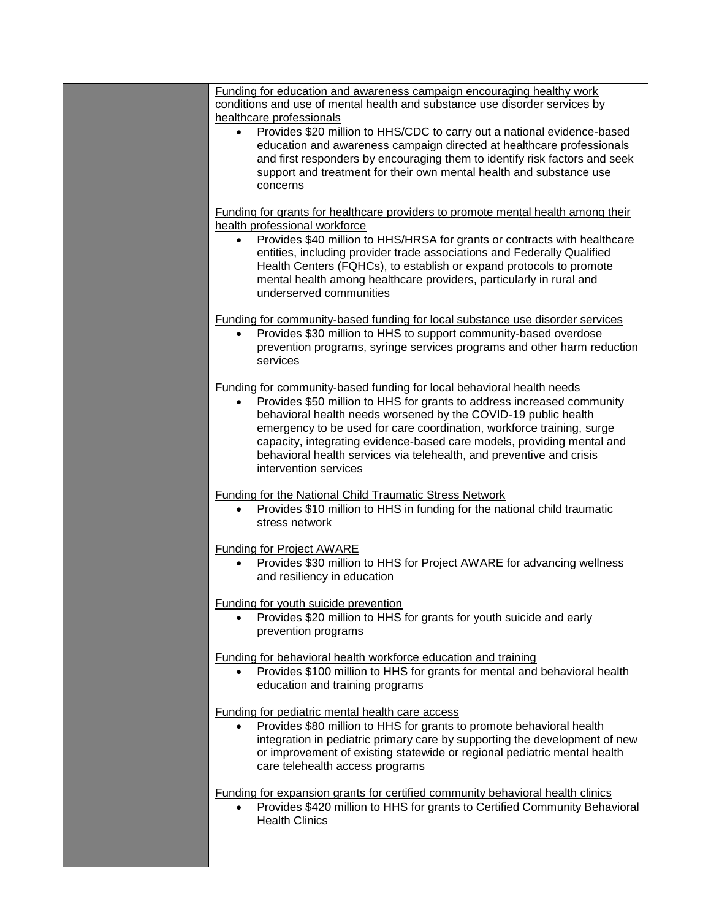| Funding for education and awareness campaign encouraging healthy work                               |
|-----------------------------------------------------------------------------------------------------|
| conditions and use of mental health and substance use disorder services by                          |
| healthcare professionals                                                                            |
| Provides \$20 million to HHS/CDC to carry out a national evidence-based                             |
| education and awareness campaign directed at healthcare professionals                               |
| and first responders by encouraging them to identify risk factors and seek                          |
| support and treatment for their own mental health and substance use                                 |
| concerns                                                                                            |
|                                                                                                     |
| Funding for grants for healthcare providers to promote mental health among their                    |
| health professional workforce                                                                       |
| Provides \$40 million to HHS/HRSA for grants or contracts with healthcare<br>$\bullet$              |
| entities, including provider trade associations and Federally Qualified                             |
| Health Centers (FQHCs), to establish or expand protocols to promote                                 |
|                                                                                                     |
| mental health among healthcare providers, particularly in rural and                                 |
| underserved communities                                                                             |
|                                                                                                     |
| <b>Funding for community-based funding for local substance use disorder services</b>                |
| Provides \$30 million to HHS to support community-based overdose<br>$\bullet$                       |
| prevention programs, syringe services programs and other harm reduction                             |
| services                                                                                            |
|                                                                                                     |
| Funding for community-based funding for local behavioral health needs                               |
| Provides \$50 million to HHS for grants to address increased community<br>$\bullet$                 |
| behavioral health needs worsened by the COVID-19 public health                                      |
| emergency to be used for care coordination, workforce training, surge                               |
| capacity, integrating evidence-based care models, providing mental and                              |
| behavioral health services via telehealth, and preventive and crisis                                |
| intervention services                                                                               |
|                                                                                                     |
| <b>Funding for the National Child Traumatic Stress Network</b>                                      |
| Provides \$10 million to HHS in funding for the national child traumatic                            |
| stress network                                                                                      |
|                                                                                                     |
|                                                                                                     |
| <b>Funding for Project AWARE</b>                                                                    |
| Provides \$30 million to HHS for Project AWARE for advancing wellness                               |
| and resiliency in education                                                                         |
|                                                                                                     |
| <b>Funding for youth suicide prevention</b>                                                         |
| • Provides \$20 million to HHS for grants for youth suicide and early                               |
| prevention programs                                                                                 |
|                                                                                                     |
| Funding for behavioral health workforce education and training                                      |
| Provides \$100 million to HHS for grants for mental and behavioral health                           |
| education and training programs                                                                     |
|                                                                                                     |
| <b>Funding for pediatric mental health care access</b>                                              |
| Provides \$80 million to HHS for grants to promote behavioral health                                |
|                                                                                                     |
| integration in pediatric primary care by supporting the development of new                          |
| or improvement of existing statewide or regional pediatric mental health                            |
| care telehealth access programs                                                                     |
|                                                                                                     |
| Funding for expansion grants for certified community behavioral health clinics                      |
| Provides \$420 million to HHS for grants to Certified Community Behavioral<br><b>Health Clinics</b> |
|                                                                                                     |
|                                                                                                     |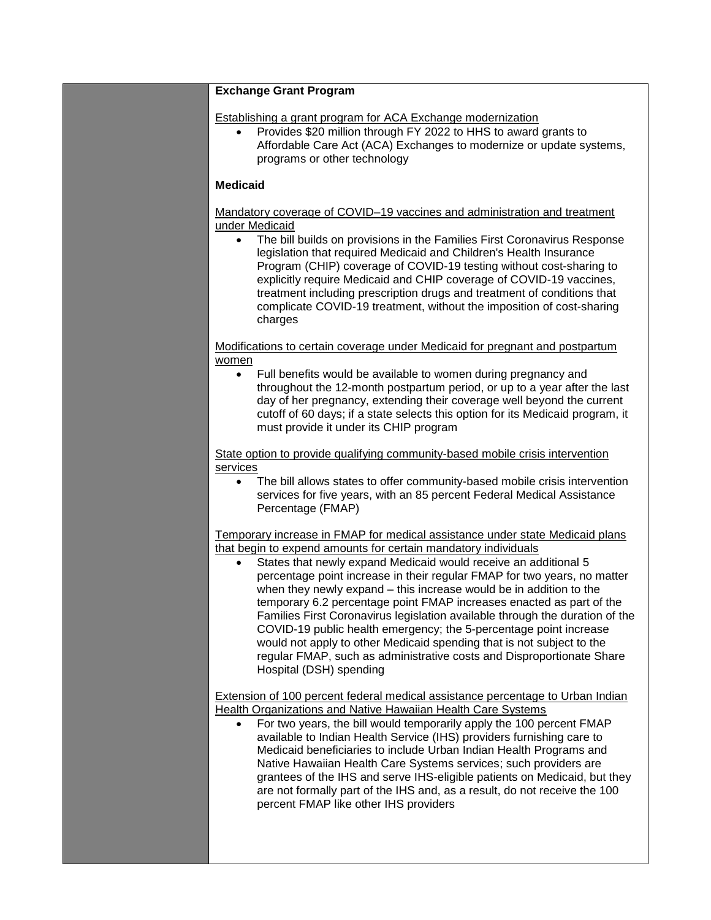| <b>Exchange Grant Program</b>                                                                                                                                                                                                                                                                                                                                                                                                                                                                                                                                                                                                                                                                                                                                                 |
|-------------------------------------------------------------------------------------------------------------------------------------------------------------------------------------------------------------------------------------------------------------------------------------------------------------------------------------------------------------------------------------------------------------------------------------------------------------------------------------------------------------------------------------------------------------------------------------------------------------------------------------------------------------------------------------------------------------------------------------------------------------------------------|
| Establishing a grant program for ACA Exchange modernization<br>Provides \$20 million through FY 2022 to HHS to award grants to<br>Affordable Care Act (ACA) Exchanges to modernize or update systems,<br>programs or other technology                                                                                                                                                                                                                                                                                                                                                                                                                                                                                                                                         |
| <b>Medicaid</b>                                                                                                                                                                                                                                                                                                                                                                                                                                                                                                                                                                                                                                                                                                                                                               |
| Mandatory coverage of COVID-19 vaccines and administration and treatment<br>under Medicaid<br>The bill builds on provisions in the Families First Coronavirus Response<br>$\bullet$<br>legislation that required Medicaid and Children's Health Insurance<br>Program (CHIP) coverage of COVID-19 testing without cost-sharing to<br>explicitly require Medicaid and CHIP coverage of COVID-19 vaccines,<br>treatment including prescription drugs and treatment of conditions that<br>complicate COVID-19 treatment, without the imposition of cost-sharing<br>charges                                                                                                                                                                                                        |
| Modifications to certain coverage under Medicaid for pregnant and postpartum<br>women<br>Full benefits would be available to women during pregnancy and<br>$\bullet$<br>throughout the 12-month postpartum period, or up to a year after the last<br>day of her pregnancy, extending their coverage well beyond the current<br>cutoff of 60 days; if a state selects this option for its Medicaid program, it<br>must provide it under its CHIP program                                                                                                                                                                                                                                                                                                                       |
| State option to provide qualifying community-based mobile crisis intervention<br>services<br>The bill allows states to offer community-based mobile crisis intervention<br>٠<br>services for five years, with an 85 percent Federal Medical Assistance<br>Percentage (FMAP)                                                                                                                                                                                                                                                                                                                                                                                                                                                                                                   |
| Temporary increase in FMAP for medical assistance under state Medicaid plans<br>that begin to expend amounts for certain mandatory individuals<br>States that newly expand Medicaid would receive an additional 5<br>percentage point increase in their regular FMAP for two years, no matter<br>when they newly expand – this increase would be in addition to the<br>temporary 6.2 percentage point FMAP increases enacted as part of the<br>Families First Coronavirus legislation available through the duration of the<br>COVID-19 public health emergency; the 5-percentage point increase<br>would not apply to other Medicaid spending that is not subject to the<br>regular FMAP, such as administrative costs and Disproportionate Share<br>Hospital (DSH) spending |
| <b>Extension of 100 percent federal medical assistance percentage to Urban Indian</b><br><b>Health Organizations and Native Hawaiian Health Care Systems</b><br>For two years, the bill would temporarily apply the 100 percent FMAP<br>$\bullet$<br>available to Indian Health Service (IHS) providers furnishing care to<br>Medicaid beneficiaries to include Urban Indian Health Programs and<br>Native Hawaiian Health Care Systems services; such providers are<br>grantees of the IHS and serve IHS-eligible patients on Medicaid, but they<br>are not formally part of the IHS and, as a result, do not receive the 100<br>percent FMAP like other IHS providers                                                                                                       |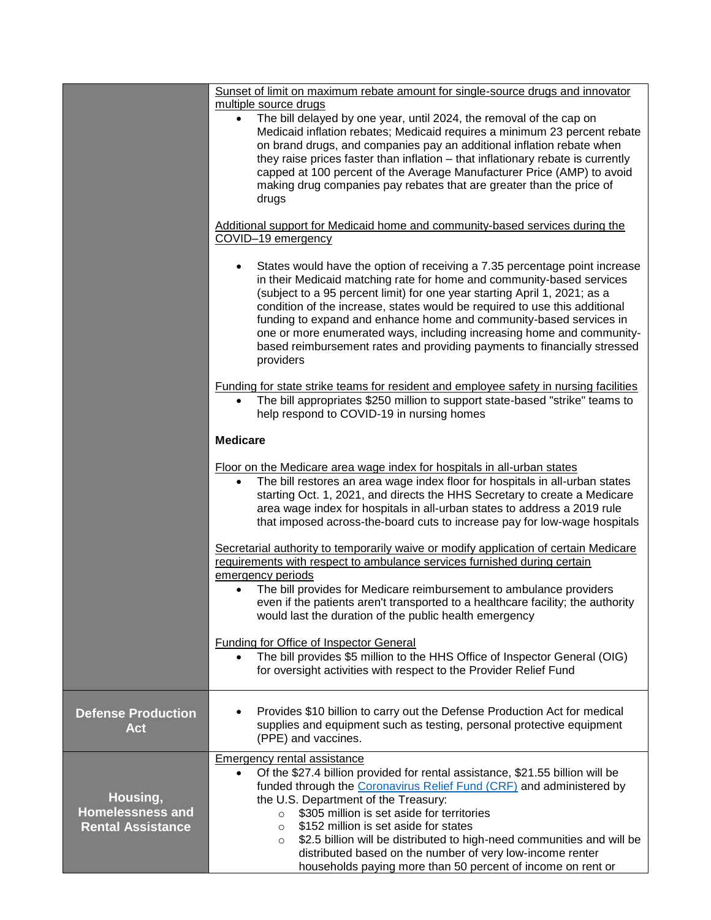|                                                                 | Sunset of limit on maximum rebate amount for single-source drugs and innovator<br>multiple source drugs<br>The bill delayed by one year, until 2024, the removal of the cap on<br>$\bullet$<br>Medicaid inflation rebates; Medicaid requires a minimum 23 percent rebate<br>on brand drugs, and companies pay an additional inflation rebate when<br>they raise prices faster than inflation - that inflationary rebate is currently<br>capped at 100 percent of the Average Manufacturer Price (AMP) to avoid<br>making drug companies pay rebates that are greater than the price of<br>drugs |
|-----------------------------------------------------------------|-------------------------------------------------------------------------------------------------------------------------------------------------------------------------------------------------------------------------------------------------------------------------------------------------------------------------------------------------------------------------------------------------------------------------------------------------------------------------------------------------------------------------------------------------------------------------------------------------|
|                                                                 | Additional support for Medicaid home and community-based services during the<br>COVID-19 emergency                                                                                                                                                                                                                                                                                                                                                                                                                                                                                              |
|                                                                 | States would have the option of receiving a 7.35 percentage point increase<br>in their Medicaid matching rate for home and community-based services<br>(subject to a 95 percent limit) for one year starting April 1, 2021; as a<br>condition of the increase, states would be required to use this additional<br>funding to expand and enhance home and community-based services in<br>one or more enumerated ways, including increasing home and community-<br>based reimbursement rates and providing payments to financially stressed<br>providers                                          |
|                                                                 | Funding for state strike teams for resident and employee safety in nursing facilities<br>The bill appropriates \$250 million to support state-based "strike" teams to<br>$\bullet$<br>help respond to COVID-19 in nursing homes                                                                                                                                                                                                                                                                                                                                                                 |
|                                                                 | <b>Medicare</b>                                                                                                                                                                                                                                                                                                                                                                                                                                                                                                                                                                                 |
|                                                                 | Floor on the Medicare area wage index for hospitals in all-urban states<br>The bill restores an area wage index floor for hospitals in all-urban states<br>$\bullet$<br>starting Oct. 1, 2021, and directs the HHS Secretary to create a Medicare<br>area wage index for hospitals in all-urban states to address a 2019 rule<br>that imposed across-the-board cuts to increase pay for low-wage hospitals                                                                                                                                                                                      |
|                                                                 | Secretarial authority to temporarily waive or modify application of certain Medicare<br>requirements with respect to ambulance services furnished during certain<br>emergency periods<br>• The bill provides for Medicare reimbursement to ambulance providers                                                                                                                                                                                                                                                                                                                                  |
|                                                                 | even if the patients aren't transported to a healthcare facility; the authority<br>would last the duration of the public health emergency                                                                                                                                                                                                                                                                                                                                                                                                                                                       |
|                                                                 | <b>Funding for Office of Inspector General</b><br>The bill provides \$5 million to the HHS Office of Inspector General (OIG)<br>for oversight activities with respect to the Provider Relief Fund                                                                                                                                                                                                                                                                                                                                                                                               |
| <b>Defense Production</b><br><b>Act</b>                         | Provides \$10 billion to carry out the Defense Production Act for medical<br>supplies and equipment such as testing, personal protective equipment<br>(PPE) and vaccines.                                                                                                                                                                                                                                                                                                                                                                                                                       |
| Housing,<br><b>Homelessness and</b><br><b>Rental Assistance</b> | <b>Emergency rental assistance</b><br>Of the \$27.4 billion provided for rental assistance, \$21.55 billion will be<br>$\bullet$<br>funded through the Coronavirus Relief Fund (CRF) and administered by<br>the U.S. Department of the Treasury:<br>\$305 million is set aside for territories<br>$\circ$<br>\$152 million is set aside for states<br>$\circ$<br>\$2.5 billion will be distributed to high-need communities and will be<br>$\circ$<br>distributed based on the number of very low-income renter<br>households paying more than 50 percent of income on rent or                  |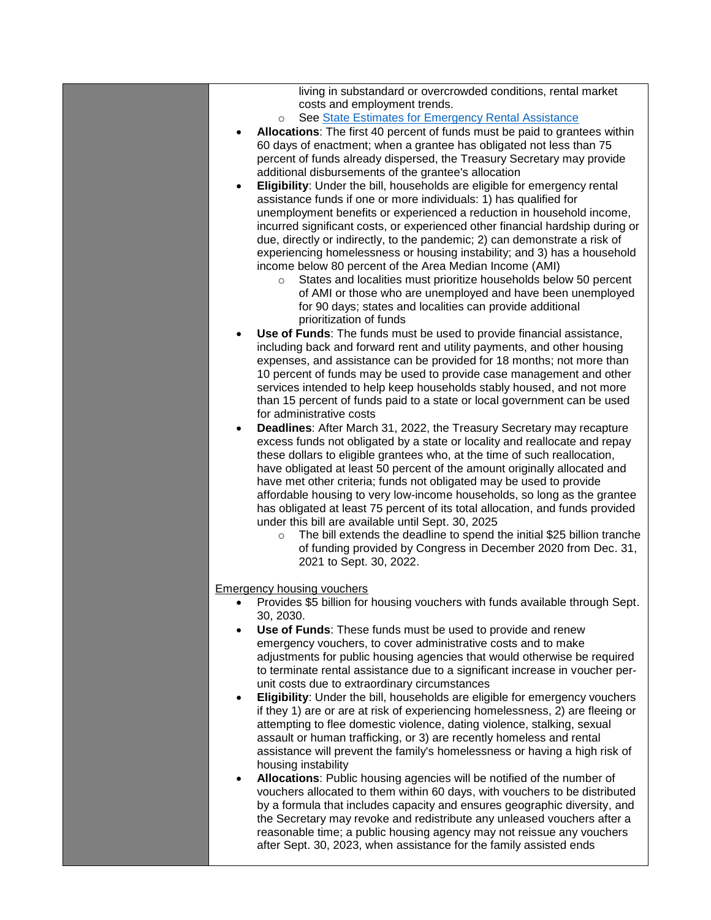| living in substandard or overcrowded conditions, rental market<br>costs and employment trends.<br>See State Estimates for Emergency Rental Assistance<br>$\circ$<br>Allocations: The first 40 percent of funds must be paid to grantees within<br>٠<br>60 days of enactment; when a grantee has obligated not less than 75<br>percent of funds already dispersed, the Treasury Secretary may provide<br>additional disbursements of the grantee's allocation<br>Eligibility: Under the bill, households are eligible for emergency rental<br>$\bullet$<br>assistance funds if one or more individuals: 1) has qualified for<br>unemployment benefits or experienced a reduction in household income,                                                                                                                                                                                                          |
|---------------------------------------------------------------------------------------------------------------------------------------------------------------------------------------------------------------------------------------------------------------------------------------------------------------------------------------------------------------------------------------------------------------------------------------------------------------------------------------------------------------------------------------------------------------------------------------------------------------------------------------------------------------------------------------------------------------------------------------------------------------------------------------------------------------------------------------------------------------------------------------------------------------|
| incurred significant costs, or experienced other financial hardship during or<br>due, directly or indirectly, to the pandemic; 2) can demonstrate a risk of<br>experiencing homelessness or housing instability; and 3) has a household<br>income below 80 percent of the Area Median Income (AMI)<br>States and localities must prioritize households below 50 percent<br>$\circ$<br>of AMI or those who are unemployed and have been unemployed<br>for 90 days; states and localities can provide additional<br>prioritization of funds                                                                                                                                                                                                                                                                                                                                                                     |
| Use of Funds: The funds must be used to provide financial assistance,<br>$\bullet$<br>including back and forward rent and utility payments, and other housing<br>expenses, and assistance can be provided for 18 months; not more than<br>10 percent of funds may be used to provide case management and other<br>services intended to help keep households stably housed, and not more<br>than 15 percent of funds paid to a state or local government can be used<br>for administrative costs<br><b>Deadlines:</b> After March 31, 2022, the Treasury Secretary may recapture<br>$\bullet$                                                                                                                                                                                                                                                                                                                  |
| excess funds not obligated by a state or locality and reallocate and repay<br>these dollars to eligible grantees who, at the time of such reallocation,<br>have obligated at least 50 percent of the amount originally allocated and<br>have met other criteria; funds not obligated may be used to provide<br>affordable housing to very low-income households, so long as the grantee<br>has obligated at least 75 percent of its total allocation, and funds provided<br>under this bill are available until Sept. 30, 2025<br>The bill extends the deadline to spend the initial \$25 billion tranche<br>$\circ$<br>of funding provided by Congress in December 2020 from Dec. 31,<br>2021 to Sept. 30, 2022.                                                                                                                                                                                             |
| <b>Emergency housing vouchers</b><br>Provides \$5 billion for housing vouchers with funds available through Sept.<br>30, 2030.<br>Use of Funds: These funds must be used to provide and renew<br>$\bullet$<br>emergency vouchers, to cover administrative costs and to make<br>adjustments for public housing agencies that would otherwise be required<br>to terminate rental assistance due to a significant increase in voucher per-<br>unit costs due to extraordinary circumstances                                                                                                                                                                                                                                                                                                                                                                                                                      |
| Eligibility: Under the bill, households are eligible for emergency vouchers<br>$\bullet$<br>if they 1) are or are at risk of experiencing homelessness, 2) are fleeing or<br>attempting to flee domestic violence, dating violence, stalking, sexual<br>assault or human trafficking, or 3) are recently homeless and rental<br>assistance will prevent the family's homelessness or having a high risk of<br>housing instability<br>Allocations: Public housing agencies will be notified of the number of<br>$\bullet$<br>vouchers allocated to them within 60 days, with vouchers to be distributed<br>by a formula that includes capacity and ensures geographic diversity, and<br>the Secretary may revoke and redistribute any unleased vouchers after a<br>reasonable time; a public housing agency may not reissue any vouchers<br>after Sept. 30, 2023, when assistance for the family assisted ends |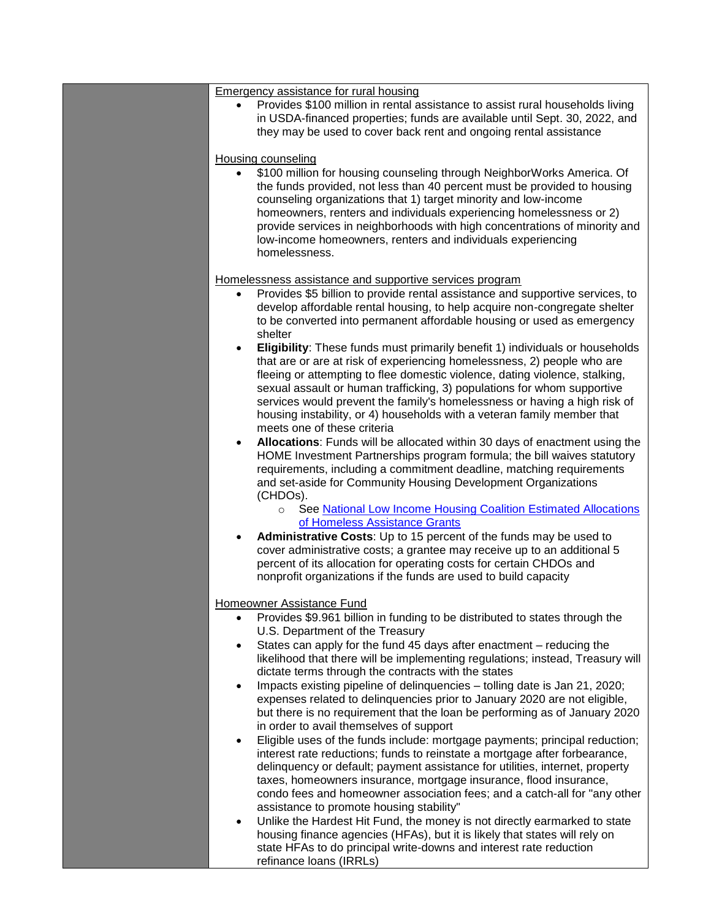|           | Emergency assistance for rural housing                                                                                                                                                                                                                                                                                                                   |
|-----------|----------------------------------------------------------------------------------------------------------------------------------------------------------------------------------------------------------------------------------------------------------------------------------------------------------------------------------------------------------|
|           | Provides \$100 million in rental assistance to assist rural households living<br>in USDA-financed properties; funds are available until Sept. 30, 2022, and<br>they may be used to cover back rent and ongoing rental assistance                                                                                                                         |
|           | <b>Housing counseling</b>                                                                                                                                                                                                                                                                                                                                |
| $\bullet$ | \$100 million for housing counseling through NeighborWorks America. Of<br>the funds provided, not less than 40 percent must be provided to housing                                                                                                                                                                                                       |
|           | counseling organizations that 1) target minority and low-income<br>homeowners, renters and individuals experiencing homelessness or 2)<br>provide services in neighborhoods with high concentrations of minority and<br>low-income homeowners, renters and individuals experiencing<br>homelessness.                                                     |
|           | Homelessness assistance and supportive services program                                                                                                                                                                                                                                                                                                  |
|           | Provides \$5 billion to provide rental assistance and supportive services, to                                                                                                                                                                                                                                                                            |
|           | develop affordable rental housing, to help acquire non-congregate shelter<br>to be converted into permanent affordable housing or used as emergency<br>shelter                                                                                                                                                                                           |
| $\bullet$ | Eligibility: These funds must primarily benefit 1) individuals or households<br>that are or are at risk of experiencing homelessness, 2) people who are<br>fleeing or attempting to flee domestic violence, dating violence, stalking,<br>sexual assault or human trafficking, 3) populations for whom supportive                                        |
|           | services would prevent the family's homelessness or having a high risk of<br>housing instability, or 4) households with a veteran family member that<br>meets one of these criteria                                                                                                                                                                      |
| $\bullet$ | Allocations: Funds will be allocated within 30 days of enactment using the<br>HOME Investment Partnerships program formula; the bill waives statutory<br>requirements, including a commitment deadline, matching requirements<br>and set-aside for Community Housing Development Organizations<br>(CHDOs).                                               |
|           | See National Low Income Housing Coalition Estimated Allocations<br>$\circ$<br>of Homeless Assistance Grants                                                                                                                                                                                                                                              |
| $\bullet$ | Administrative Costs: Up to 15 percent of the funds may be used to                                                                                                                                                                                                                                                                                       |
|           | cover administrative costs; a grantee may receive up to an additional 5<br>percent of its allocation for operating costs for certain CHDOs and<br>nonprofit organizations if the funds are used to build capacity                                                                                                                                        |
|           | Homeowner Assistance Fund                                                                                                                                                                                                                                                                                                                                |
|           | Provides \$9.961 billion in funding to be distributed to states through the<br>U.S. Department of the Treasury                                                                                                                                                                                                                                           |
| $\bullet$ | States can apply for the fund 45 days after enactment – reducing the<br>likelihood that there will be implementing regulations; instead, Treasury will<br>dictate terms through the contracts with the states                                                                                                                                            |
| $\bullet$ | Impacts existing pipeline of delinquencies - tolling date is Jan 21, 2020;<br>expenses related to delinquencies prior to January 2020 are not eligible,<br>but there is no requirement that the loan be performing as of January 2020                                                                                                                    |
| $\bullet$ | in order to avail themselves of support<br>Eligible uses of the funds include: mortgage payments; principal reduction;                                                                                                                                                                                                                                   |
|           | interest rate reductions; funds to reinstate a mortgage after forbearance,<br>delinquency or default; payment assistance for utilities, internet, property<br>taxes, homeowners insurance, mortgage insurance, flood insurance,<br>condo fees and homeowner association fees; and a catch-all for "any other<br>assistance to promote housing stability" |
| $\bullet$ | Unlike the Hardest Hit Fund, the money is not directly earmarked to state<br>housing finance agencies (HFAs), but it is likely that states will rely on<br>state HFAs to do principal write-downs and interest rate reduction<br>refinance loans (IRRLs)                                                                                                 |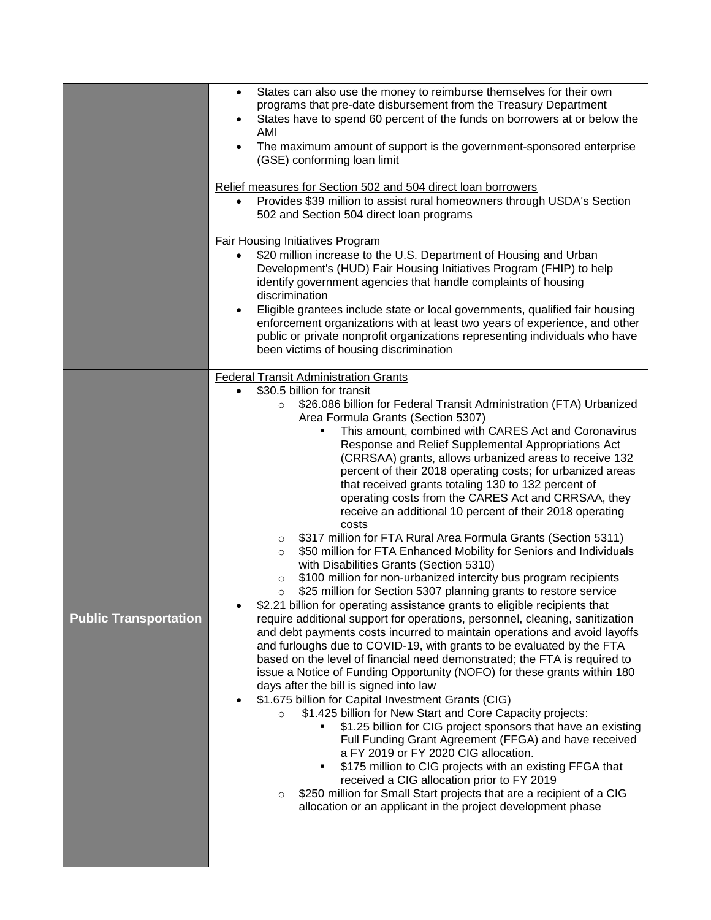|                              | States can also use the money to reimburse themselves for their own<br>$\bullet$<br>programs that pre-date disbursement from the Treasury Department<br>States have to spend 60 percent of the funds on borrowers at or below the<br>٠<br>AMI<br>The maximum amount of support is the government-sponsored enterprise<br>$\bullet$<br>(GSE) conforming loan limit<br>Relief measures for Section 502 and 504 direct loan borrowers<br>Provides \$39 million to assist rural homeowners through USDA's Section<br>502 and Section 504 direct loan programs<br><b>Fair Housing Initiatives Program</b><br>\$20 million increase to the U.S. Department of Housing and Urban<br>Development's (HUD) Fair Housing Initiatives Program (FHIP) to help<br>identify government agencies that handle complaints of housing<br>discrimination<br>Eligible grantees include state or local governments, qualified fair housing<br>$\bullet$<br>enforcement organizations with at least two years of experience, and other<br>public or private nonprofit organizations representing individuals who have<br>been victims of housing discrimination                                                                                                                                                                                                                                                                                                                                                                                                                                                                                                                                                                                                                                                                                                                                                                                                                                                                                                                                                             |
|------------------------------|------------------------------------------------------------------------------------------------------------------------------------------------------------------------------------------------------------------------------------------------------------------------------------------------------------------------------------------------------------------------------------------------------------------------------------------------------------------------------------------------------------------------------------------------------------------------------------------------------------------------------------------------------------------------------------------------------------------------------------------------------------------------------------------------------------------------------------------------------------------------------------------------------------------------------------------------------------------------------------------------------------------------------------------------------------------------------------------------------------------------------------------------------------------------------------------------------------------------------------------------------------------------------------------------------------------------------------------------------------------------------------------------------------------------------------------------------------------------------------------------------------------------------------------------------------------------------------------------------------------------------------------------------------------------------------------------------------------------------------------------------------------------------------------------------------------------------------------------------------------------------------------------------------------------------------------------------------------------------------------------------------------------------------------------------------------------------------------------------|
| <b>Public Transportation</b> | <b>Federal Transit Administration Grants</b><br>\$30.5 billion for transit<br>$\bullet$<br>\$26.086 billion for Federal Transit Administration (FTA) Urbanized<br>$\circ$<br>Area Formula Grants (Section 5307)<br>This amount, combined with CARES Act and Coronavirus<br>Response and Relief Supplemental Appropriations Act<br>(CRRSAA) grants, allows urbanized areas to receive 132<br>percent of their 2018 operating costs; for urbanized areas<br>that received grants totaling 130 to 132 percent of<br>operating costs from the CARES Act and CRRSAA, they<br>receive an additional 10 percent of their 2018 operating<br>costs<br>\$317 million for FTA Rural Area Formula Grants (Section 5311)<br>$\circ$<br>\$50 million for FTA Enhanced Mobility for Seniors and Individuals<br>$\circ$<br>with Disabilities Grants (Section 5310)<br>\$100 million for non-urbanized intercity bus program recipients<br>$\circ$<br>\$25 million for Section 5307 planning grants to restore service<br>$\circ$<br>\$2.21 billion for operating assistance grants to eligible recipients that<br>require additional support for operations, personnel, cleaning, sanitization<br>and debt payments costs incurred to maintain operations and avoid layoffs<br>and furloughs due to COVID-19, with grants to be evaluated by the FTA<br>based on the level of financial need demonstrated; the FTA is required to<br>issue a Notice of Funding Opportunity (NOFO) for these grants within 180<br>days after the bill is signed into law<br>\$1.675 billion for Capital Investment Grants (CIG)<br>\$1.425 billion for New Start and Core Capacity projects:<br>$\circ$<br>\$1.25 billion for CIG project sponsors that have an existing<br>Full Funding Grant Agreement (FFGA) and have received<br>a FY 2019 or FY 2020 CIG allocation.<br>\$175 million to CIG projects with an existing FFGA that<br>received a CIG allocation prior to FY 2019<br>\$250 million for Small Start projects that are a recipient of a CIG<br>$\circ$<br>allocation or an applicant in the project development phase |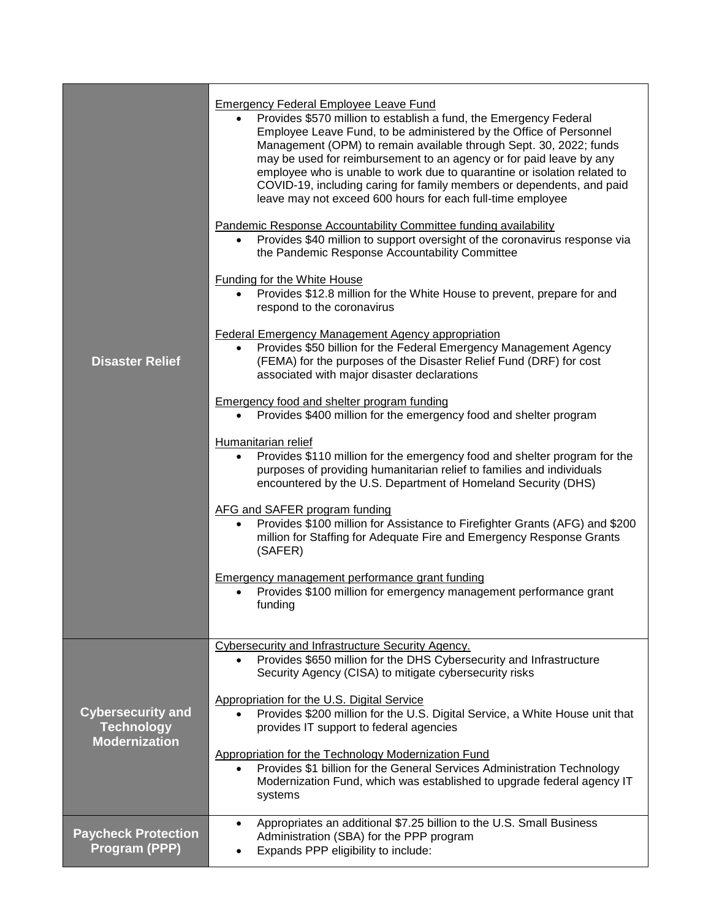| <b>Disaster Relief</b>                                                | <b>Emergency Federal Employee Leave Fund</b><br>Provides \$570 million to establish a fund, the Emergency Federal<br>Employee Leave Fund, to be administered by the Office of Personnel<br>Management (OPM) to remain available through Sept. 30, 2022; funds<br>may be used for reimbursement to an agency or for paid leave by any<br>employee who is unable to work due to quarantine or isolation related to<br>COVID-19, including caring for family members or dependents, and paid<br>leave may not exceed 600 hours for each full-time employee<br>Pandemic Response Accountability Committee funding availability<br>Provides \$40 million to support oversight of the coronavirus response via<br>$\bullet$<br>the Pandemic Response Accountability Committee<br><b>Funding for the White House</b><br>Provides \$12.8 million for the White House to prevent, prepare for and<br>$\bullet$<br>respond to the coronavirus<br><b>Federal Emergency Management Agency appropriation</b><br>Provides \$50 billion for the Federal Emergency Management Agency<br>$\bullet$<br>(FEMA) for the purposes of the Disaster Relief Fund (DRF) for cost<br>associated with major disaster declarations<br><b>Emergency food and shelter program funding</b><br>Provides \$400 million for the emergency food and shelter program<br>$\bullet$<br>Humanitarian relief<br>Provides \$110 million for the emergency food and shelter program for the<br>$\bullet$<br>purposes of providing humanitarian relief to families and individuals<br>encountered by the U.S. Department of Homeland Security (DHS)<br>AFG and SAFER program funding<br>Provides \$100 million for Assistance to Firefighter Grants (AFG) and \$200<br>million for Staffing for Adequate Fire and Emergency Response Grants<br>(SAFER)<br>Emergency management performance grant funding<br>Provides \$100 million for emergency management performance grant<br>funding |
|-----------------------------------------------------------------------|-----------------------------------------------------------------------------------------------------------------------------------------------------------------------------------------------------------------------------------------------------------------------------------------------------------------------------------------------------------------------------------------------------------------------------------------------------------------------------------------------------------------------------------------------------------------------------------------------------------------------------------------------------------------------------------------------------------------------------------------------------------------------------------------------------------------------------------------------------------------------------------------------------------------------------------------------------------------------------------------------------------------------------------------------------------------------------------------------------------------------------------------------------------------------------------------------------------------------------------------------------------------------------------------------------------------------------------------------------------------------------------------------------------------------------------------------------------------------------------------------------------------------------------------------------------------------------------------------------------------------------------------------------------------------------------------------------------------------------------------------------------------------------------------------------------------------------------------------------------------------------------------------------------------------------------------------|
| <b>Cybersecurity and</b><br><b>Technology</b><br><b>Modernization</b> | Cybersecurity and Infrastructure Security Agency.<br>Provides \$650 million for the DHS Cybersecurity and Infrastructure<br>$\bullet$<br>Security Agency (CISA) to mitigate cybersecurity risks<br>Appropriation for the U.S. Digital Service<br>Provides \$200 million for the U.S. Digital Service, a White House unit that<br>$\bullet$<br>provides IT support to federal agencies<br>Appropriation for the Technology Modernization Fund<br>Provides \$1 billion for the General Services Administration Technology<br>$\bullet$<br>Modernization Fund, which was established to upgrade federal agency IT<br>systems                                                                                                                                                                                                                                                                                                                                                                                                                                                                                                                                                                                                                                                                                                                                                                                                                                                                                                                                                                                                                                                                                                                                                                                                                                                                                                                     |
| <b>Paycheck Protection</b><br>Program (PPP)                           | Appropriates an additional \$7.25 billion to the U.S. Small Business<br>$\bullet$<br>Administration (SBA) for the PPP program<br>Expands PPP eligibility to include:                                                                                                                                                                                                                                                                                                                                                                                                                                                                                                                                                                                                                                                                                                                                                                                                                                                                                                                                                                                                                                                                                                                                                                                                                                                                                                                                                                                                                                                                                                                                                                                                                                                                                                                                                                          |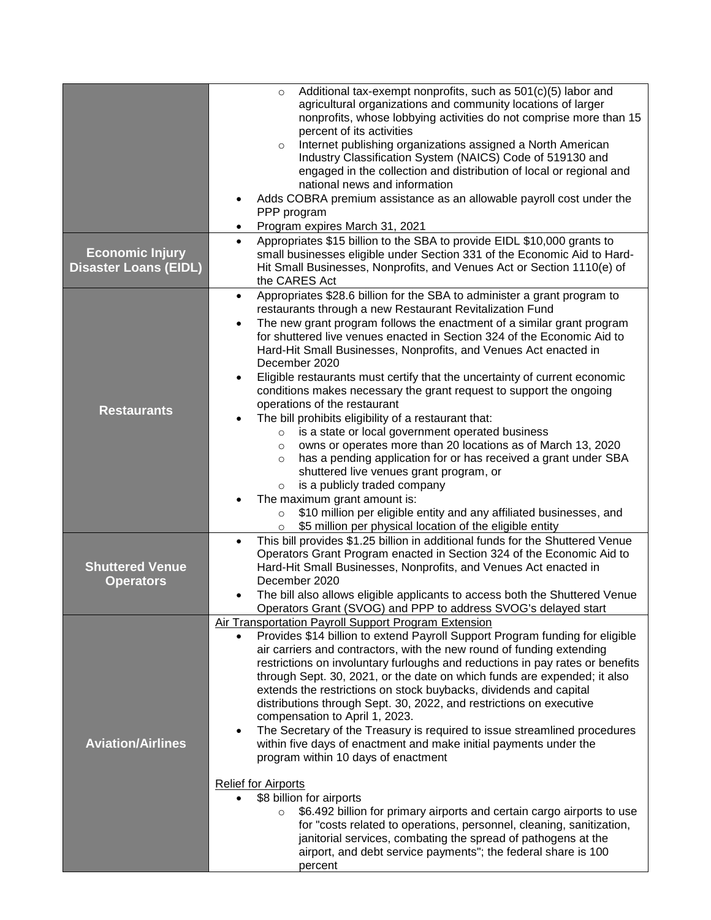|                                                        | Additional tax-exempt nonprofits, such as 501(c)(5) labor and<br>$\circ$<br>agricultural organizations and community locations of larger<br>nonprofits, whose lobbying activities do not comprise more than 15<br>percent of its activities<br>Internet publishing organizations assigned a North American<br>$\circ$<br>Industry Classification System (NAICS) Code of 519130 and<br>engaged in the collection and distribution of local or regional and<br>national news and information<br>Adds COBRA premium assistance as an allowable payroll cost under the<br>PPP program<br>Program expires March 31, 2021<br>$\bullet$                                                                                                                                                                                                                                                                                                                                                                                                                                                                                                                                  |
|--------------------------------------------------------|-------------------------------------------------------------------------------------------------------------------------------------------------------------------------------------------------------------------------------------------------------------------------------------------------------------------------------------------------------------------------------------------------------------------------------------------------------------------------------------------------------------------------------------------------------------------------------------------------------------------------------------------------------------------------------------------------------------------------------------------------------------------------------------------------------------------------------------------------------------------------------------------------------------------------------------------------------------------------------------------------------------------------------------------------------------------------------------------------------------------------------------------------------------------|
| <b>Economic Injury</b><br><b>Disaster Loans (EIDL)</b> | Appropriates \$15 billion to the SBA to provide EIDL \$10,000 grants to<br>$\bullet$<br>small businesses eligible under Section 331 of the Economic Aid to Hard-<br>Hit Small Businesses, Nonprofits, and Venues Act or Section 1110(e) of<br>the CARES Act                                                                                                                                                                                                                                                                                                                                                                                                                                                                                                                                                                                                                                                                                                                                                                                                                                                                                                       |
| <b>Restaurants</b>                                     | Appropriates \$28.6 billion for the SBA to administer a grant program to<br>$\bullet$<br>restaurants through a new Restaurant Revitalization Fund<br>The new grant program follows the enactment of a similar grant program<br>$\bullet$<br>for shuttered live venues enacted in Section 324 of the Economic Aid to<br>Hard-Hit Small Businesses, Nonprofits, and Venues Act enacted in<br>December 2020<br>Eligible restaurants must certify that the uncertainty of current economic<br>٠<br>conditions makes necessary the grant request to support the ongoing<br>operations of the restaurant<br>The bill prohibits eligibility of a restaurant that:<br>is a state or local government operated business<br>$\circ$<br>owns or operates more than 20 locations as of March 13, 2020<br>$\circ$<br>has a pending application for or has received a grant under SBA<br>$\circ$<br>shuttered live venues grant program, or<br>is a publicly traded company<br>$\circ$<br>The maximum grant amount is:<br>\$10 million per eligible entity and any affiliated businesses, and<br>$\circ$<br>\$5 million per physical location of the eligible entity<br>$\circ$ |
| <b>Shuttered Venue</b><br><b>Operators</b>             | This bill provides \$1.25 billion in additional funds for the Shuttered Venue<br>$\bullet$<br>Operators Grant Program enacted in Section 324 of the Economic Aid to<br>Hard-Hit Small Businesses, Nonprofits, and Venues Act enacted in<br>December 2020<br>The bill also allows eligible applicants to access both the Shuttered Venue<br>٠<br>Operators Grant (SVOG) and PPP to address SVOG's delayed start                                                                                                                                                                                                                                                                                                                                                                                                                                                                                                                                                                                                                                                                                                                                                    |
| <b>Aviation/Airlines</b>                               | Air Transportation Payroll Support Program Extension<br>Provides \$14 billion to extend Payroll Support Program funding for eligible<br>$\bullet$<br>air carriers and contractors, with the new round of funding extending<br>restrictions on involuntary furloughs and reductions in pay rates or benefits<br>through Sept. 30, 2021, or the date on which funds are expended; it also<br>extends the restrictions on stock buybacks, dividends and capital<br>distributions through Sept. 30, 2022, and restrictions on executive<br>compensation to April 1, 2023.<br>The Secretary of the Treasury is required to issue streamlined procedures<br>within five days of enactment and make initial payments under the<br>program within 10 days of enactment<br><b>Relief for Airports</b><br>\$8 billion for airports<br>\$6.492 billion for primary airports and certain cargo airports to use<br>$\circ$<br>for "costs related to operations, personnel, cleaning, sanitization,<br>janitorial services, combating the spread of pathogens at the<br>airport, and debt service payments"; the federal share is 100<br>percent                                |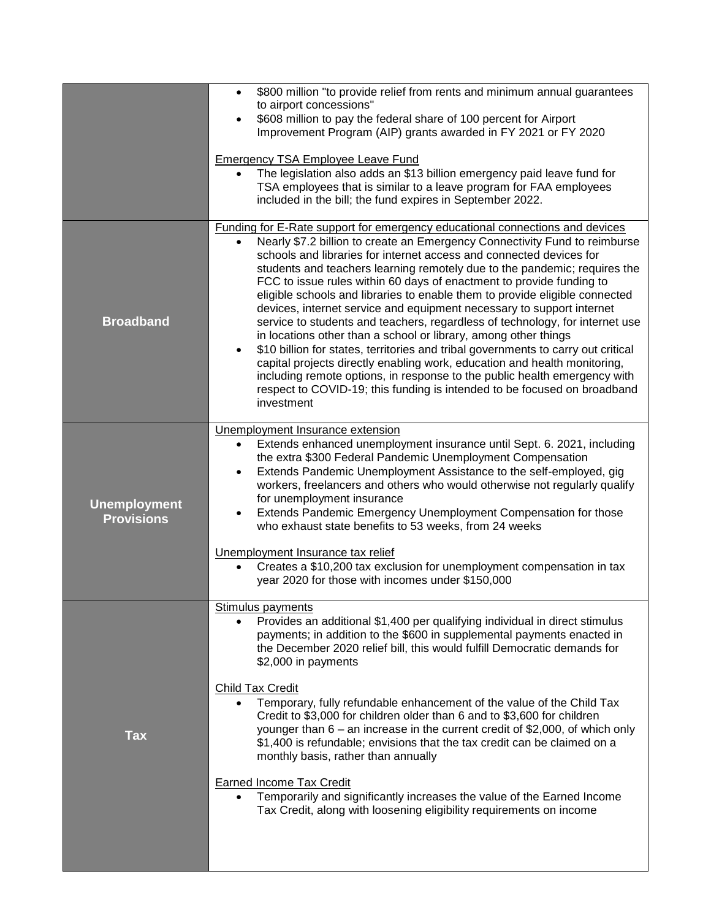|                                          | \$800 million "to provide relief from rents and minimum annual guarantees<br>$\bullet$<br>to airport concessions"<br>\$608 million to pay the federal share of 100 percent for Airport<br>$\bullet$<br>Improvement Program (AIP) grants awarded in FY 2021 or FY 2020<br><b>Emergency TSA Employee Leave Fund</b><br>The legislation also adds an \$13 billion emergency paid leave fund for<br>TSA employees that is similar to a leave program for FAA employees<br>included in the bill; the fund expires in September 2022.                                                                                                                                                                                                                                                                                                                                                                                                                                                                                                                         |
|------------------------------------------|---------------------------------------------------------------------------------------------------------------------------------------------------------------------------------------------------------------------------------------------------------------------------------------------------------------------------------------------------------------------------------------------------------------------------------------------------------------------------------------------------------------------------------------------------------------------------------------------------------------------------------------------------------------------------------------------------------------------------------------------------------------------------------------------------------------------------------------------------------------------------------------------------------------------------------------------------------------------------------------------------------------------------------------------------------|
| <b>Broadband</b>                         | Funding for E-Rate support for emergency educational connections and devices<br>Nearly \$7.2 billion to create an Emergency Connectivity Fund to reimburse<br>schools and libraries for internet access and connected devices for<br>students and teachers learning remotely due to the pandemic; requires the<br>FCC to issue rules within 60 days of enactment to provide funding to<br>eligible schools and libraries to enable them to provide eligible connected<br>devices, internet service and equipment necessary to support internet<br>service to students and teachers, regardless of technology, for internet use<br>in locations other than a school or library, among other things<br>\$10 billion for states, territories and tribal governments to carry out critical<br>$\bullet$<br>capital projects directly enabling work, education and health monitoring,<br>including remote options, in response to the public health emergency with<br>respect to COVID-19; this funding is intended to be focused on broadband<br>investment |
| <b>Unemployment</b><br><b>Provisions</b> | Unemployment Insurance extension<br>Extends enhanced unemployment insurance until Sept. 6. 2021, including<br>the extra \$300 Federal Pandemic Unemployment Compensation<br>Extends Pandemic Unemployment Assistance to the self-employed, gig<br>workers, freelancers and others who would otherwise not regularly qualify<br>for unemployment insurance<br>Extends Pandemic Emergency Unemployment Compensation for those<br>who exhaust state benefits to 53 weeks, from 24 weeks<br>Unemployment Insurance tax relief<br>Creates a \$10,200 tax exclusion for unemployment compensation in tax<br>$\bullet$<br>year 2020 for those with incomes under \$150,000                                                                                                                                                                                                                                                                                                                                                                                     |
| <b>Tax</b>                               | Stimulus payments<br>Provides an additional \$1,400 per qualifying individual in direct stimulus<br>$\bullet$<br>payments; in addition to the \$600 in supplemental payments enacted in<br>the December 2020 relief bill, this would fulfill Democratic demands for<br>\$2,000 in payments<br><b>Child Tax Credit</b><br>Temporary, fully refundable enhancement of the value of the Child Tax<br>Credit to \$3,000 for children older than 6 and to \$3,600 for children<br>younger than $6 -$ an increase in the current credit of \$2,000, of which only<br>\$1,400 is refundable; envisions that the tax credit can be claimed on a<br>monthly basis, rather than annually<br><b>Earned Income Tax Credit</b><br>Temporarily and significantly increases the value of the Earned Income<br>Tax Credit, along with loosening eligibility requirements on income                                                                                                                                                                                      |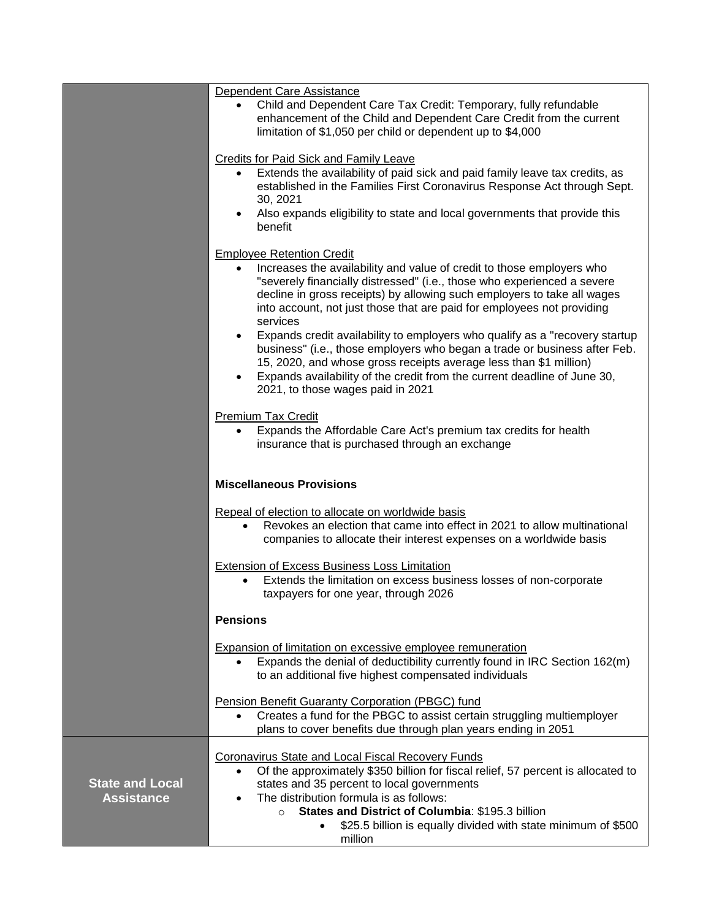|                                             | Dependent Care Assistance<br>Child and Dependent Care Tax Credit: Temporary, fully refundable<br>enhancement of the Child and Dependent Care Credit from the current<br>limitation of \$1,050 per child or dependent up to \$4,000                                                                                                                                                                                                                                                                                                                                                                                                                                                                                                |
|---------------------------------------------|-----------------------------------------------------------------------------------------------------------------------------------------------------------------------------------------------------------------------------------------------------------------------------------------------------------------------------------------------------------------------------------------------------------------------------------------------------------------------------------------------------------------------------------------------------------------------------------------------------------------------------------------------------------------------------------------------------------------------------------|
|                                             | Credits for Paid Sick and Family Leave<br>Extends the availability of paid sick and paid family leave tax credits, as<br>$\bullet$<br>established in the Families First Coronavirus Response Act through Sept.<br>30, 2021<br>Also expands eligibility to state and local governments that provide this<br>benefit                                                                                                                                                                                                                                                                                                                                                                                                                |
|                                             | <b>Employee Retention Credit</b><br>Increases the availability and value of credit to those employers who<br>$\bullet$<br>"severely financially distressed" (i.e., those who experienced a severe<br>decline in gross receipts) by allowing such employers to take all wages<br>into account, not just those that are paid for employees not providing<br>services<br>Expands credit availability to employers who qualify as a "recovery startup<br>$\bullet$<br>business" (i.e., those employers who began a trade or business after Feb.<br>15, 2020, and whose gross receipts average less than \$1 million)<br>Expands availability of the credit from the current deadline of June 30,<br>2021, to those wages paid in 2021 |
|                                             | <b>Premium Tax Credit</b><br>Expands the Affordable Care Act's premium tax credits for health<br>$\bullet$<br>insurance that is purchased through an exchange                                                                                                                                                                                                                                                                                                                                                                                                                                                                                                                                                                     |
|                                             | <b>Miscellaneous Provisions</b>                                                                                                                                                                                                                                                                                                                                                                                                                                                                                                                                                                                                                                                                                                   |
|                                             | Repeal of election to allocate on worldwide basis<br>Revokes an election that came into effect in 2021 to allow multinational<br>$\bullet$<br>companies to allocate their interest expenses on a worldwide basis                                                                                                                                                                                                                                                                                                                                                                                                                                                                                                                  |
|                                             | <b>Extension of Excess Business Loss Limitation</b><br>Extends the limitation on excess business losses of non-corporate<br>taxpayers for one year, through 2026                                                                                                                                                                                                                                                                                                                                                                                                                                                                                                                                                                  |
|                                             | <b>Pensions</b>                                                                                                                                                                                                                                                                                                                                                                                                                                                                                                                                                                                                                                                                                                                   |
|                                             | <b>Expansion of limitation on excessive employee remuneration</b><br>Expands the denial of deductibility currently found in IRC Section 162(m)<br>to an additional five highest compensated individuals                                                                                                                                                                                                                                                                                                                                                                                                                                                                                                                           |
|                                             | Pension Benefit Guaranty Corporation (PBGC) fund<br>Creates a fund for the PBGC to assist certain struggling multiemployer<br>$\bullet$<br>plans to cover benefits due through plan years ending in 2051                                                                                                                                                                                                                                                                                                                                                                                                                                                                                                                          |
| <b>State and Local</b><br><b>Assistance</b> | <b>Coronavirus State and Local Fiscal Recovery Funds</b><br>Of the approximately \$350 billion for fiscal relief, 57 percent is allocated to<br>$\bullet$<br>states and 35 percent to local governments<br>The distribution formula is as follows:<br>$\bullet$<br>States and District of Columbia: \$195.3 billion<br>$\circ$<br>\$25.5 billion is equally divided with state minimum of \$500<br>$\bullet$<br>million                                                                                                                                                                                                                                                                                                           |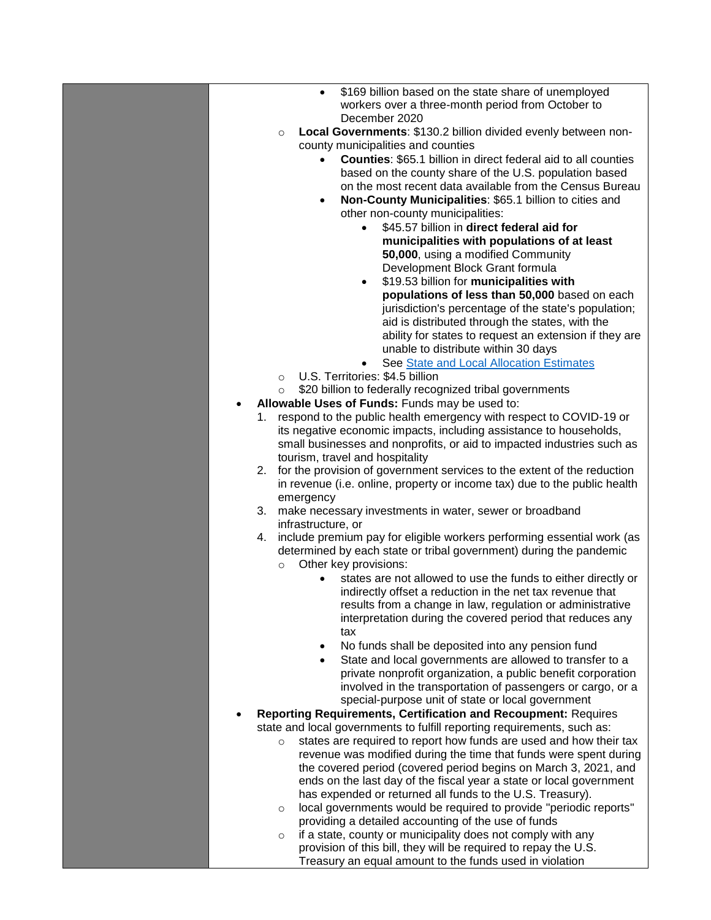| \$169 billion based on the state share of unemployed<br>$\bullet$                                                                       |
|-----------------------------------------------------------------------------------------------------------------------------------------|
| workers over a three-month period from October to                                                                                       |
| December 2020<br>Local Governments: \$130.2 billion divided evenly between non-<br>$\circ$                                              |
| county municipalities and counties                                                                                                      |
| <b>Counties: \$65.1 billion in direct federal aid to all counties</b><br>$\bullet$                                                      |
| based on the county share of the U.S. population based                                                                                  |
| on the most recent data available from the Census Bureau                                                                                |
| Non-County Municipalities: \$65.1 billion to cities and<br>$\bullet$                                                                    |
| other non-county municipalities:                                                                                                        |
| \$45.57 billion in direct federal aid for<br>$\bullet$                                                                                  |
| municipalities with populations of at least                                                                                             |
| 50,000, using a modified Community<br>Development Block Grant formula                                                                   |
| \$19.53 billion for municipalities with<br>$\bullet$                                                                                    |
| populations of less than 50,000 based on each                                                                                           |
| jurisdiction's percentage of the state's population;                                                                                    |
| aid is distributed through the states, with the                                                                                         |
| ability for states to request an extension if they are                                                                                  |
| unable to distribute within 30 days                                                                                                     |
| See State and Local Allocation Estimates                                                                                                |
| U.S. Territories: \$4.5 billion<br>$\circ$                                                                                              |
| \$20 billion to federally recognized tribal governments<br>$\circ$<br>Allowable Uses of Funds: Funds may be used to:                    |
| 1. respond to the public health emergency with respect to COVID-19 or                                                                   |
| its negative economic impacts, including assistance to households,                                                                      |
| small businesses and nonprofits, or aid to impacted industries such as                                                                  |
| tourism, travel and hospitality                                                                                                         |
| for the provision of government services to the extent of the reduction<br>2.                                                           |
| in revenue (i.e. online, property or income tax) due to the public health                                                               |
| emergency                                                                                                                               |
| 3. make necessary investments in water, sewer or broadband<br>infrastructure, or                                                        |
| include premium pay for eligible workers performing essential work (as<br>4.                                                            |
| determined by each state or tribal government) during the pandemic                                                                      |
| Other key provisions:<br>$\circ$                                                                                                        |
| states are not allowed to use the funds to either directly or                                                                           |
| indirectly offset a reduction in the net tax revenue that                                                                               |
| results from a change in law, regulation or administrative                                                                              |
| interpretation during the covered period that reduces any                                                                               |
| tax                                                                                                                                     |
| No funds shall be deposited into any pension fund<br>$\bullet$<br>State and local governments are allowed to transfer to a<br>$\bullet$ |
| private nonprofit organization, a public benefit corporation                                                                            |
| involved in the transportation of passengers or cargo, or a                                                                             |
| special-purpose unit of state or local government                                                                                       |
| <b>Reporting Requirements, Certification and Recoupment: Requires</b>                                                                   |
| state and local governments to fulfill reporting requirements, such as:                                                                 |
| states are required to report how funds are used and how their tax<br>$\circ$                                                           |
| revenue was modified during the time that funds were spent during                                                                       |
| the covered period (covered period begins on March 3, 2021, and<br>ends on the last day of the fiscal year a state or local government  |
| has expended or returned all funds to the U.S. Treasury).                                                                               |
| local governments would be required to provide "periodic reports"<br>$\circ$                                                            |
| providing a detailed accounting of the use of funds                                                                                     |
| if a state, county or municipality does not comply with any<br>$\circ$                                                                  |
| provision of this bill, they will be required to repay the U.S.                                                                         |
| Treasury an equal amount to the funds used in violation                                                                                 |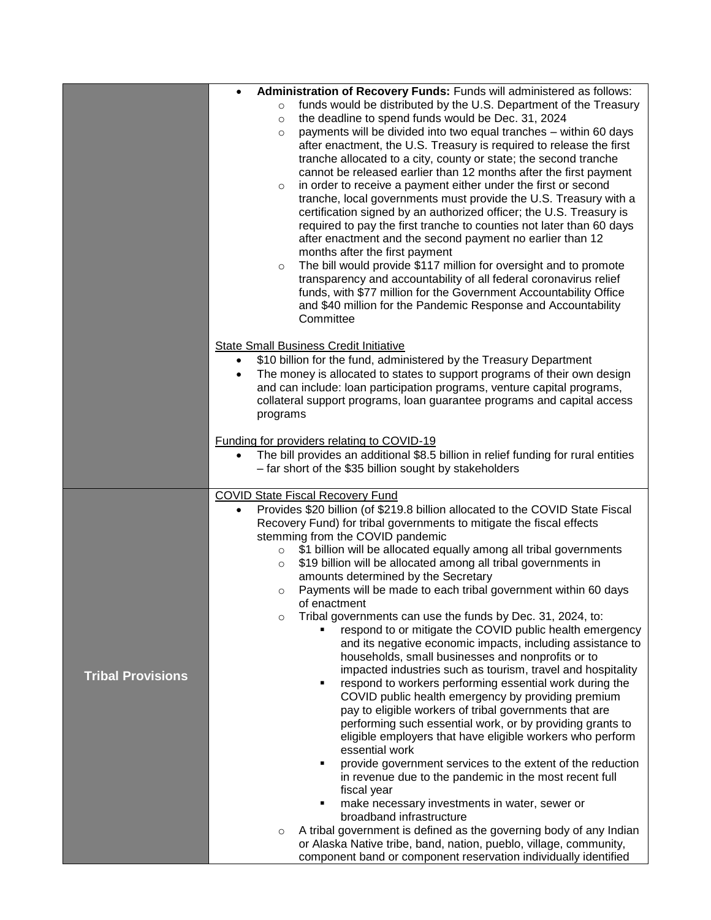|                          | Administration of Recovery Funds: Funds will administered as follows:<br>$\bullet$                                                                               |
|--------------------------|------------------------------------------------------------------------------------------------------------------------------------------------------------------|
|                          | funds would be distributed by the U.S. Department of the Treasury<br>$\circ$                                                                                     |
|                          | the deadline to spend funds would be Dec. 31, 2024<br>$\circ$                                                                                                    |
|                          | payments will be divided into two equal tranches - within 60 days<br>$\circ$<br>after enactment, the U.S. Treasury is required to release the first              |
|                          | tranche allocated to a city, county or state; the second tranche                                                                                                 |
|                          | cannot be released earlier than 12 months after the first payment                                                                                                |
|                          | in order to receive a payment either under the first or second<br>$\circ$                                                                                        |
|                          | tranche, local governments must provide the U.S. Treasury with a                                                                                                 |
|                          | certification signed by an authorized officer; the U.S. Treasury is<br>required to pay the first tranche to counties not later than 60 days                      |
|                          | after enactment and the second payment no earlier than 12                                                                                                        |
|                          | months after the first payment                                                                                                                                   |
|                          | The bill would provide \$117 million for oversight and to promote<br>$\circ$                                                                                     |
|                          | transparency and accountability of all federal coronavirus relief                                                                                                |
|                          | funds, with \$77 million for the Government Accountability Office                                                                                                |
|                          | and \$40 million for the Pandemic Response and Accountability<br>Committee                                                                                       |
|                          |                                                                                                                                                                  |
|                          | <b>State Small Business Credit Initiative</b>                                                                                                                    |
|                          | \$10 billion for the fund, administered by the Treasury Department<br>$\bullet$                                                                                  |
|                          | The money is allocated to states to support programs of their own design<br>$\bullet$<br>and can include: loan participation programs, venture capital programs, |
|                          | collateral support programs, loan guarantee programs and capital access                                                                                          |
|                          | programs                                                                                                                                                         |
|                          |                                                                                                                                                                  |
|                          | <b>Funding for providers relating to COVID-19</b><br>The bill provides an additional \$8.5 billion in relief funding for rural entities<br>$\bullet$             |
|                          | - far short of the \$35 billion sought by stakeholders                                                                                                           |
|                          |                                                                                                                                                                  |
|                          | <b>COVID State Fiscal Recovery Fund</b><br>Provides \$20 billion (of \$219.8 billion allocated to the COVID State Fiscal<br>$\bullet$                            |
|                          | Recovery Fund) for tribal governments to mitigate the fiscal effects                                                                                             |
|                          | stemming from the COVID pandemic                                                                                                                                 |
|                          | \$1 billion will be allocated equally among all tribal governments<br>$\circ$                                                                                    |
|                          | \$19 billion will be allocated among all tribal governments in<br>$\circ$                                                                                        |
|                          | amounts determined by the Secretary<br>Payments will be made to each tribal government within 60 days<br>$\circ$                                                 |
|                          | of enactment                                                                                                                                                     |
|                          | Tribal governments can use the funds by Dec. 31, 2024, to:<br>$\circ$                                                                                            |
|                          | respond to or mitigate the COVID public health emergency                                                                                                         |
|                          | and its negative economic impacts, including assistance to<br>households, small businesses and nonprofits or to                                                  |
|                          | impacted industries such as tourism, travel and hospitality                                                                                                      |
| <b>Tribal Provisions</b> | respond to workers performing essential work during the                                                                                                          |
|                          | COVID public health emergency by providing premium                                                                                                               |
|                          | pay to eligible workers of tribal governments that are                                                                                                           |
|                          | performing such essential work, or by providing grants to<br>eligible employers that have eligible workers who perform                                           |
|                          | essential work                                                                                                                                                   |
|                          | provide government services to the extent of the reduction                                                                                                       |
|                          | in revenue due to the pandemic in the most recent full                                                                                                           |
|                          | fiscal year                                                                                                                                                      |
|                          | make necessary investments in water, sewer or<br>broadband infrastructure                                                                                        |
|                          | A tribal government is defined as the governing body of any Indian<br>$\circ$                                                                                    |
|                          | or Alaska Native tribe, band, nation, pueblo, village, community,                                                                                                |
|                          | component band or component reservation individually identified                                                                                                  |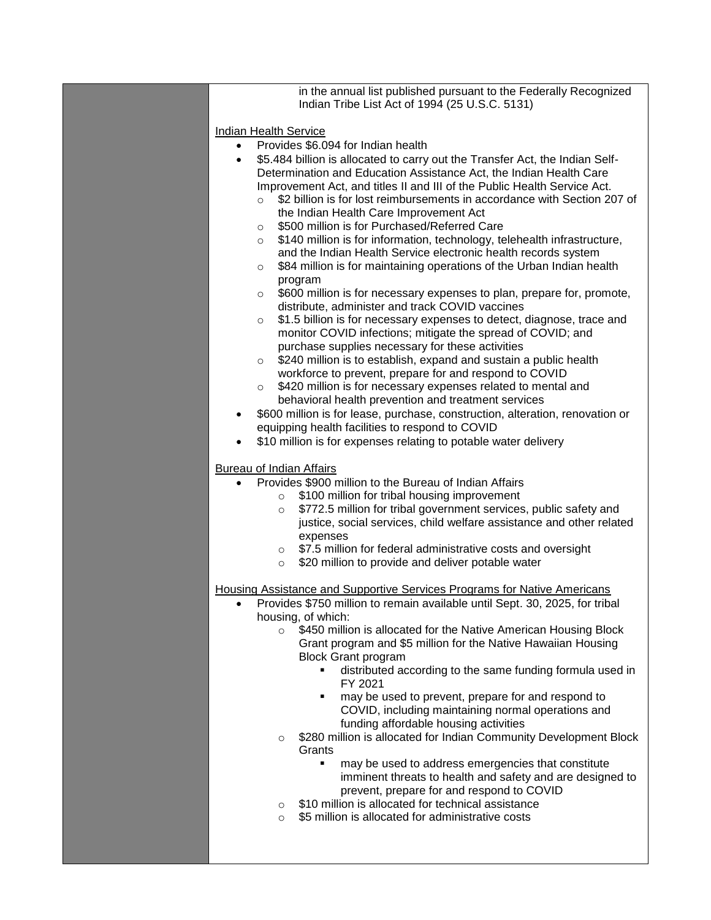| in the annual list published pursuant to the Federally Recognized<br>Indian Tribe List Act of 1994 (25 U.S.C. 5131)                                                                                                                                                                                                                                                                                                                                                                                                                                                                                                                                                                                                                                                                                                                                                                                                                                                                                                                                                                                                                                                                                                                                                          |
|------------------------------------------------------------------------------------------------------------------------------------------------------------------------------------------------------------------------------------------------------------------------------------------------------------------------------------------------------------------------------------------------------------------------------------------------------------------------------------------------------------------------------------------------------------------------------------------------------------------------------------------------------------------------------------------------------------------------------------------------------------------------------------------------------------------------------------------------------------------------------------------------------------------------------------------------------------------------------------------------------------------------------------------------------------------------------------------------------------------------------------------------------------------------------------------------------------------------------------------------------------------------------|
| <b>Indian Health Service</b><br>Provides \$6.094 for Indian health<br>$\bullet$<br>\$5.484 billion is allocated to carry out the Transfer Act, the Indian Self-<br>$\bullet$<br>Determination and Education Assistance Act, the Indian Health Care<br>Improvement Act, and titles II and III of the Public Health Service Act.<br>\$2 billion is for lost reimbursements in accordance with Section 207 of<br>$\circ$<br>the Indian Health Care Improvement Act<br>\$500 million is for Purchased/Referred Care<br>$\circ$<br>\$140 million is for information, technology, telehealth infrastructure,<br>$\circ$<br>and the Indian Health Service electronic health records system<br>\$84 million is for maintaining operations of the Urban Indian health<br>$\circ$<br>program<br>\$600 million is for necessary expenses to plan, prepare for, promote,<br>$\circ$<br>distribute, administer and track COVID vaccines<br>\$1.5 billion is for necessary expenses to detect, diagnose, trace and<br>$\circ$<br>monitor COVID infections; mitigate the spread of COVID; and<br>purchase supplies necessary for these activities<br>\$240 million is to establish, expand and sustain a public health<br>$\circ$<br>workforce to prevent, prepare for and respond to COVID |
| \$420 million is for necessary expenses related to mental and<br>$\circ$                                                                                                                                                                                                                                                                                                                                                                                                                                                                                                                                                                                                                                                                                                                                                                                                                                                                                                                                                                                                                                                                                                                                                                                                     |
| behavioral health prevention and treatment services<br>\$600 million is for lease, purchase, construction, alteration, renovation or<br>equipping health facilities to respond to COVID                                                                                                                                                                                                                                                                                                                                                                                                                                                                                                                                                                                                                                                                                                                                                                                                                                                                                                                                                                                                                                                                                      |
| \$10 million is for expenses relating to potable water delivery                                                                                                                                                                                                                                                                                                                                                                                                                                                                                                                                                                                                                                                                                                                                                                                                                                                                                                                                                                                                                                                                                                                                                                                                              |
| <b>Bureau of Indian Affairs</b><br>Provides \$900 million to the Bureau of Indian Affairs                                                                                                                                                                                                                                                                                                                                                                                                                                                                                                                                                                                                                                                                                                                                                                                                                                                                                                                                                                                                                                                                                                                                                                                    |
| \$100 million for tribal housing improvement<br>$\circ$<br>\$772.5 million for tribal government services, public safety and<br>$\circ$<br>justice, social services, child welfare assistance and other related<br>expenses<br>\$7.5 million for federal administrative costs and oversight<br>$\circ$<br>\$20 million to provide and deliver potable water<br>$\circ$                                                                                                                                                                                                                                                                                                                                                                                                                                                                                                                                                                                                                                                                                                                                                                                                                                                                                                       |
| Housing Assistance and Supportive Services Programs for Native Americans                                                                                                                                                                                                                                                                                                                                                                                                                                                                                                                                                                                                                                                                                                                                                                                                                                                                                                                                                                                                                                                                                                                                                                                                     |
| Provides \$750 million to remain available until Sept. 30, 2025, for tribal<br>housing, of which:<br>\$450 million is allocated for the Native American Housing Block<br>$\circ$<br>Grant program and \$5 million for the Native Hawaiian Housing<br><b>Block Grant program</b><br>distributed according to the same funding formula used in<br>٠<br>FY 2021<br>may be used to prevent, prepare for and respond to<br>٠<br>COVID, including maintaining normal operations and<br>funding affordable housing activities<br>\$280 million is allocated for Indian Community Development Block<br>$\circ$<br>Grants<br>may be used to address emergencies that constitute<br>$\blacksquare$<br>imminent threats to health and safety and are designed to<br>prevent, prepare for and respond to COVID                                                                                                                                                                                                                                                                                                                                                                                                                                                                           |
| \$10 million is allocated for technical assistance<br>$\circ$<br>\$5 million is allocated for administrative costs<br>$\circ$                                                                                                                                                                                                                                                                                                                                                                                                                                                                                                                                                                                                                                                                                                                                                                                                                                                                                                                                                                                                                                                                                                                                                |